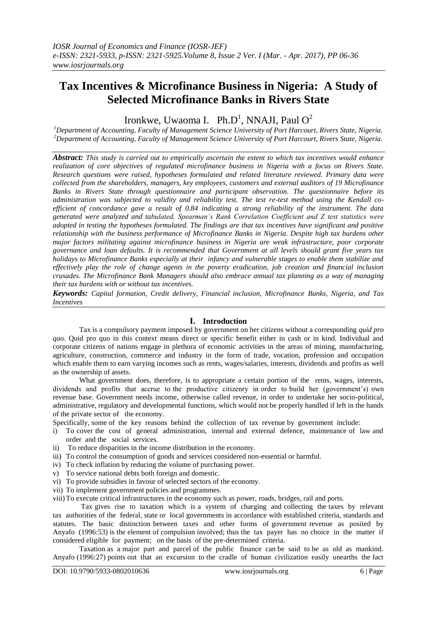# **Tax Incentives & Microfinance Business in Nigeria: A Study of Selected Microfinance Banks in Rivers State**

Ironkwe, Uwaoma I.  $Ph.D<sup>1</sup>$ , NNAJI, Paul O<sup>2</sup>

*<sup>1</sup>Department of Accounting, Faculty of Management Science University of Port Harcourt, Rivers State, Nigeria. <sup>2</sup>Department of Accounting, Faculty of Management Science University of Port Harcourt, Rivers State, Nigeria.*

*Abstract: This study is carried out to empirically ascertain the extent to which tax incentives would enhance realization of core objectives of regulated microfinance business in Nigeria with a focus on Rivers State. Research questions were raised, hypotheses formulated and related literature reviewed. Primary data were collected from the shareholders, managers, key employees, customers and external auditors of 19 Microfinance Banks in Rivers State through questionnaire and participant observation. The questionnaire before its administration was subjected to validity and reliability test. The test re-test method using the Kendall coefficient of concordance gave a result of 0.84 indicating a strong reliability of the instrument. The data generated were analyzed and tabulated, Spearman's Rank Correlation Coefficient and Z test statistics were adopted in testing the hypotheses formulated. The findings are that tax incentives have significant and positive relationship with the business performance of Microfinance Banks in Nigeria. Despite high tax burdens other major factors militating against microfinance business in Nigeria are weak infrastructure, poor corporate governance and loan defaults. It is recommended that Government at all levels should grant five years tax holidays to Microfinance Banks especially at their infancy and vulnerable stages to enable them stabilize and effectively play the role of change agents in the poverty eradication, job creation and financial inclusion crusades. The Microfinance Bank Managers should also embrace annual tax planning as a way of managing their tax burdens with or without tax incentives.* 

*Keywords: Capital formation, Credit delivery, Financial inclusion, Microfinance Banks, Nigeria, and Tax Incentives*

## **I. Introduction**

Tax is a compulsory payment imposed by government on her citizens without a corresponding *quid pro quo*. Quid pro quo in this context means direct or specific benefit either in cash or in kind. Individual and corporate citizens of nations engage in plethora of economic activities in the areas of mining, manufacturing, agriculture, construction, commerce and industry in the form of trade, vocation, profession and occupation which enable them to earn varying incomes such as rents, wages/salaries, interests, dividends and profits as well as the ownership of assets.

What government does, therefore, is to appropriate a certain portion of the rents, wages, interests, dividends and profits that accrue to the productive citizenry in order to build her (government"s) own revenue base. Government needs income, otherwise called revenue, in order to undertake her socio-political, administrative, regulatory and developmental functions, which would not be properly handled if left in the hands of the private sector of the economy.

Specifically, some of the key reasons behind the collection of tax revenue by government include:

- i) To cover the cost of general administration, internal and external defence, maintenance of law and order and the social services.
- ii) To reduce disparities in the income distribution in the economy.
- iii) To control the consumption of goods and services considered non-essential or harmful.
- iv) To check inflation by reducing the volume of purchasing power.
- v) To service national debts both foreign and domestic.
- vi) To provide subsidies in favour of selected sectors of the economy.
- vii) To implement government policies and programmes.
- viii)To execute critical infrastructures in the economy such as power, roads, bridges, rail and ports.

Tax gives rise to taxation which is a system of charging and collecting the taxes by relevant tax authorities of the federal, state or local governments in accordance with established criteria, standards and statutes. The basic distinction between taxes and other forms of government revenue as posited by Anyafo (1996:53) is the element of compulsion involved; thus the tax payer has no choice in the matter if considered eligible for payment; on the basis of the pre-determined criteria.

Taxation as a major part and parcel of the public finance can be said to be as old as mankind. Anyafo (1996:27) points out that an excursion to the cradle of human civilization easily unearths the fact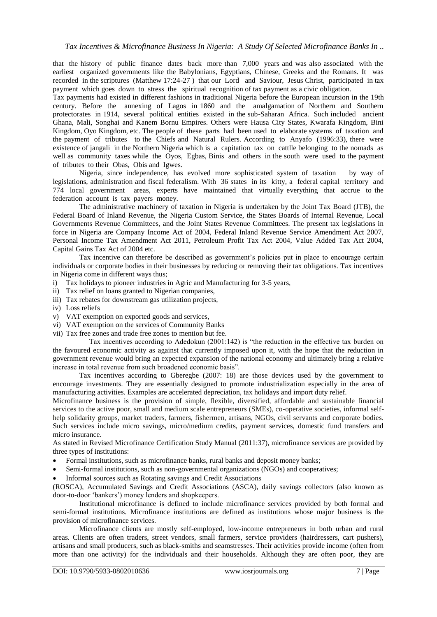that the history of public finance dates back more than 7,000 years and was also associated with the earliest organized governments like the Babylonians, Egyptians, Chinese, Greeks and the Romans. It was recorded in the scriptures (Matthew 17:24-27 ) that our Lord and Saviour, Jesus Christ, participated in tax payment which goes down to stress the spiritual recognition of tax payment as a civic obligation.

Tax payments had existed in different fashions in traditional Nigeria before the European incursion in the 19th century. Before the annexing of Lagos in 1860 and the amalgamation of Northern and Southern protectorates in 1914, several political entities existed in the sub-Saharan Africa. Such included ancient Ghana, Mali, Songhai and Kanem Bornu Empires. Others were Hausa City States, Kwarafa Kingdom, Bini Kingdom, Oyo Kingdom, etc. The people of these parts had been used to elaborate systems of taxation and the payment of tributes to the Chiefs and Natural Rulers. According to Anyafo (1996:33), there were existence of jangali in the Northern Nigeria which is a capitation tax on cattlle belonging to the nomads as well as community taxes while the Oyos, Egbas, Binis and others in the south were used to the payment of tributes to their Obas, Obis and Igwes.

Nigeria, since independence, has evolved more sophisticated system of taxation by way of legislations, administration and fiscal federalism. With 36 states in its kitty, a federal capital territory and 774 local government areas, experts have maintained that virtually everything that accrue to the federation account is tax payers money.

The administrative machinery of taxation in Nigeria is undertaken by the Joint Tax Board (JTB), the Federal Board of Inland Revenue, the Nigeria Custom Service, the States Boards of Internal Revenue, Local Governments Revenue Committees, and the Joint States Revenue Committees. The present tax legislations in force in Nigeria are Company Income Act of 2004, Federal Inland Revenue Service Amendment Act 2007, Personal Income Tax Amendment Act 2011, Petroleum Profit Tax Act 2004, Value Added Tax Act 2004, Capital Gains Tax Act of 2004 etc.

Tax incentive can therefore be described as government's policies put in place to encourage certain individuals or corporate bodies in their businesses by reducing or removing their tax obligations. Tax incentives in Nigeria come in different ways thus;

- i) Tax holidays to pioneer industries in Agric and Manufacturing for 3-5 years,
- ii) Tax relief on loans granted to Nigerian companies,
- iii) Tax rebates for downstream gas utilization projects,
- iv) Loss reliefs
- v) VAT exemption on exported goods and services,
- vi) VAT exemption on the services of Community Banks
- vii) Tax free zones and trade free zones to mention but fee.

Tax incentives according to Adedokun (2001:142) is "the reduction in the effective tax burden on the favoured economic activity as against that currently imposed upon it, with the hope that the reduction in government revenue would bring an expected expansion of the national economy and ultimately bring a relative increase in total revenue from such broadened economic basis".

Tax incentives according to Gberegbe (2007: 18) are those devices used by the government to encourage investments. They are essentially designed to promote industrialization especially in the area of manufacturing activities. Examples are accelerated depreciation, tax holidays and import duty relief.

Microfinance business is the provision of simple, flexible, diversified, affordable and sustainable financial services to the active poor, small and medium scale entrepreneurs (SMEs), co-operative societies, informal selfhelp solidarity groups, market traders, farmers, fishermen, artisans, NGOs, civil servants and corporate bodies. Such services include micro savings, micro/medium credits, payment services, domestic fund transfers and micro insurance.

As stated in Revised Microfinance Certification Study Manual (2011:37), microfinance services are provided by three types of institutions:

- Formal institutions, such as microfinance banks, rural banks and deposit money banks;
- Semi-formal institutions, such as non-governmental organizations (NGOs) and cooperatives;
- Informal sources such as Rotating savings and Credit Associations

(ROSCA), Accumulated Savings and Credit Associations (ASCA), daily savings collectors (also known as door-to-door "bankers") money lenders and shopkeepers.

Institutional microfinance is defined to include microfinance services provided by both formal and semi-formal institutions. Microfinance institutions are defined as institutions whose major business is the provision of microfinance services.

Microfinance clients are mostly self-employed, low-income entrepreneurs in both urban and rural areas. Clients are often traders, street vendors, small farmers, service providers (hairdressers, cart pushers), artisans and small producers, such as black-smiths and seamstresses. Their activities provide income (often from more than one activity) for the individuals and their households. Although they are often poor, they are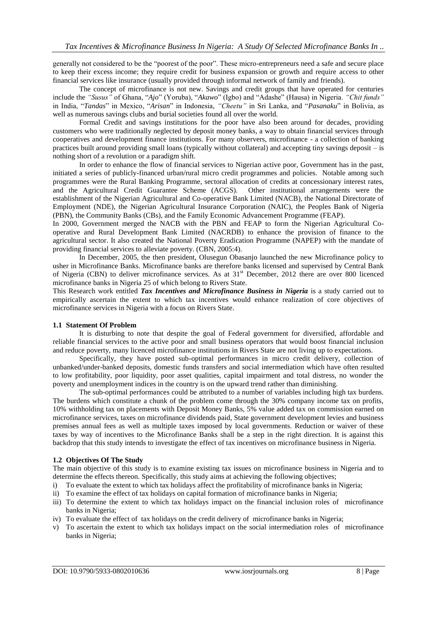generally not considered to be the "poorest of the poor". These micro-entrepreneurs need a safe and secure place to keep their excess income; they require credit for business expansion or growth and require access to other financial services like insurance (usually provided through informal network of family and friends).

The concept of microfinance is not new. Savings and credit groups that have operated for centuries include the *"Susus"* of Ghana, "*Ajo*" (Yoruba), "*Akawo*" (Igbo) and "Adashe" (Hausa) in Nigeria. *"Chit funds"* in India, "*Tandas*" in Mexico, "*Arisan*" in Indonesia, *"Cheetu"* in Sri Lanka, and "*Pasanaku*" in Bolivia, as well as numerous savings clubs and burial societies found all over the world.

Formal Credit and savings institutions for the poor have also been around for decades, providing customers who were traditionally neglected by deposit money banks, a way to obtain financial services through cooperatives and development finance institutions. For many observers, microfinance - a collection of banking practices built around providing small loans (typically without collateral) and accepting tiny savings deposit – is nothing short of a revolution or a paradigm shift.

In order to enhance the flow of financial services to Nigerian active poor, Government has in the past, initiated a series of publicly-financed urban/rural micro credit programmes and policies. Notable among such programmes were the Rural Banking Programme, sectoral allocation of credits at concessionary interest rates, and the Agricultural Credit Guarantee Scheme (ACGS). Other institutional arrangements were the establishment of the Nigerian Agricultural and Co-operative Bank Limited (NACB), the National Directorate of Employment (NDE), the Nigerian Agricultural Insurance Corporation (NAIC), the Peoples Bank of Nigeria (PBN), the Community Banks (CBs), and the Family Economic Advancement Programme (FEAP).

In 2000, Government merged the NACB with the PBN and FEAP to form the Nigerian Agricultural Cooperative and Rural Development Bank Limited (NACRDB) to enhance the provision of finance to the agricultural sector. It also created the National Poverty Eradication Programme (NAPEP) with the mandate of providing financial services to alleviate poverty. (CBN, 2005:4).

In December, 2005, the then president, Olusegun Obasanjo launched the new Microfinance policy to usher in Microfinance Banks. Microfinance banks are therefore banks licensed and supervised by Central Bank of Nigeria (CBN) to deliver microfinance services. As at 31<sup>st</sup> December, 2012 there are over 800 licenced microfinance banks in Nigeria 25 of which belong to Rivers State.

This Research work entitled *Tax Incentives and Microfinance Business in Nigeria* is a study carried out to empirically ascertain the extent to which tax incentives would enhance realization of core objectives of microfinance services in Nigeria with a focus on Rivers State.

## **1.1 Statement Of Problem**

It is disturbing to note that despite the goal of Federal government for diversified, affordable and reliable financial services to the active poor and small business operators that would boost financial inclusion and reduce poverty, many licenced microfinance institutions in Rivers State are not living up to expectations.

Specifically, they have posted sub-optimal performances in micro credit delivery, collection of unbanked/under-banked deposits, domestic funds transfers and social intermediation which have often resulted to low profitability, poor liquidity, poor asset qualities, capital impairment and total distress, no wonder the poverty and unemployment indices in the country is on the upward trend rather than diminishing.

The sub-optimal performances could be attributed to a number of variables including high tax burdens. The burdens which constitute a chunk of the problem come through the 30% company income tax on profits, 10% withholding tax on placements with Deposit Money Banks, 5% value added tax on commission earned on microfinance services, taxes on microfinance dividends paid, State government development levies and business premises annual fees as well as multiple taxes imposed by local governments. Reduction or waiver of these taxes by way of incentives to the Microfinance Banks shall be a step in the right direction. It is against this backdrop that this study intends to investigate the effect of tax incentives on microfinance business in Nigeria.

## **1.2 Objectives Of The Study**

The main objective of this study is to examine existing tax issues on microfinance business in Nigeria and to determine the effects thereon. Specifically, this study aims at achieving the following objectives;

- i) To evaluate the extent to which tax holidays affect the profitability of microfinance banks in Nigeria;
- ii) To examine the effect of tax holidays on capital formation of microfinance banks in Nigeria;
- iii) To determine the extent to which tax holidays impact on the financial inclusion roles of microfinance banks in Nigeria;
- iv) To evaluate the effect of tax holidays on the credit delivery of microfinance banks in Nigeria;
- v) To ascertain the extent to which tax holidays impact on the social intermediation roles of microfinance banks in Nigeria;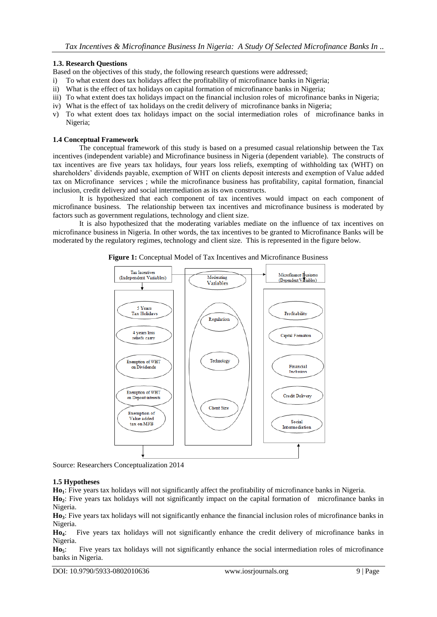## **1.3. Research Questions**

- Based on the objectives of this study, the following research questions were addressed;
- i) To what extent does tax holidays affect the profitability of microfinance banks in Nigeria;
- ii) What is the effect of tax holidays on capital formation of microfinance banks in Nigeria;
- iii) To what extent does tax holidays impact on the financial inclusion roles of microfinance banks in Nigeria;
- iv) What is the effect of tax holidays on the credit delivery of microfinance banks in Nigeria;
- v) To what extent does tax holidays impact on the social intermediation roles of microfinance banks in Nigeria;

## **1.4 Conceptual Framework**

The conceptual framework of this study is based on a presumed casual relationship between the Tax incentives (independent variable) and Microfinance business in Nigeria (dependent variable). The constructs of tax incentives are five years tax holidays, four years loss reliefs, exempting of withholding tax (WHT) on shareholders" dividends payable, exemption of WHT on clients deposit interests and exemption of Value added tax on Microfinance services ; while the microfinance business has profitability, capital formation, financial inclusion, credit delivery and social intermediation as its own constructs.

It is hypothesized that each component of tax incentives would impact on each component of microfinance business. The relationship between tax incentives and microfinance business is moderated by factors such as government regulations, technology and client size.

It is also hypothesized that the moderating variables mediate on the influence of tax incentives on microfinance business in Nigeria. In other words, the tax incentives to be granted to Microfinance Banks will be moderated by the regulatory regimes, technology and client size. This is represented in the figure below.



**Figure 1:** Conceptual Model of Tax Incentives and Microfinance Business

Source: Researchers Conceptualization 2014

## **1.5 Hypotheses**

**Ho1**: Five years tax holidays will not significantly affect the profitability of microfinance banks in Nigeria.

**Ho2**: Five years tax holidays will not significantly impact on the capital formation of microfinance banks in Nigeria.

**Ho3**: Five years tax holidays will not significantly enhance the financial inclusion roles of microfinance banks in Nigeria.

**Ho4**: Five years tax holidays will not significantly enhance the credit delivery of microfinance banks in Nigeria.

**Ho5**: Five years tax holidays will not significantly enhance the social intermediation roles of microfinance banks in Nigeria.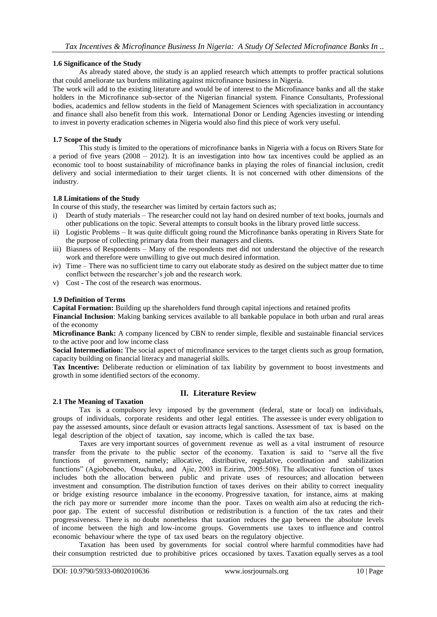## **1.6 Significance of the Study**

As already stated above, the study is an applied research which attempts to proffer practical solutions that could ameliorate tax burdens militating against microfinance business in Nigeria.

The work will add to the existing literature and would be of interest to the Microfinance banks and all the stake holders in the Microfinance sub-sector of the Nigerian financial system. Finance Consultants, Professional bodies, academics and fellow students in the field of Management Sciences with specialization in accountancy and finance shall also benefit from this work. International Donor or Lending Agencies investing or intending to invest in poverty eradication schemes in Nigeria would also find this piece of work very useful.

## **1.7 Scope of the Study**

This study is limited to the operations of microfinance banks in Nigeria with a focus on Rivers State for a period of five years (2008 – 2012). It is an investigation into how tax incentives could be applied as an economic tool to boost sustainability of microfinance banks in playing the roles of financial inclusion, credit delivery and social intermediation to their target clients. It is not concerned with other dimensions of the industry.

## **1.8 Limitations of the Study**

In course of this study, the researcher was limited by certain factors such as;

- i) Dearth of study materials The researcher could not lay hand on desired number of text books, journals and other publications on the topic. Several attempts to consult books in the library proved little success.
- ii) Logistic Problems It was quite difficult going round the Microfinance banks operating in Rivers State for the purpose of collecting primary data from their managers and clients.
- iii) Biasness of Respondents Many of the respondents met did not understand the objective of the research work and therefore were unwilling to give out much desired information.
- iv) Time There was no sufficient time to carry out elaborate study as desired on the subject matter due to time conflict between the researcher"s job and the research work.
- v) Cost The cost of the research was enormous.

## **1.9 Definition of Terms**

**Capital Formation:** Building up the shareholders fund through capital injections and retained profits

**Financial Inclusion**: Making banking services available to all bankable populace in both urban and rural areas of the economy

**Microfinance Bank:** A company licenced by CBN to render simple, flexible and sustainable financial services to the active poor and low income class

**Social Intermediation:** The social aspect of microfinance services to the target clients such as group formation, capacity building on financial literacy and managerial skills.

**Tax Incentive:** Deliberate reduction or elimination of tax liability by government to boost investments and growth in some identified sectors of the economy.

## **II. Literature Review**

## **2.1 The Meaning of Taxation**

Tax is a compulsory levy imposed by the government (federal, state or local) on individuals, groups of individuals, corporate residents and other legal entities. The assessee is under every obligation to pay the assessed amounts, since default or evasion attracts legal sanctions. Assessment of tax is based on the legal description of the object of taxation, say income, which is called the tax base.

Taxes are very important sources of government revenue as well as a vital instrument of resource transfer from the private to the public sector of the economy. Taxation is said to "serve all the five functions of government, namely; allocative, distributive, regulative, coordination and stabilization functions" (Agiobenebo, Onuchuku, and Ajie, 2003 in Ezirim, 2005:508). The allocative function of taxes includes both the allocation between public and private uses of resources; and allocation between investment and consumption. The distribution function of taxes derives on their ability to correct inequality or bridge existing resource imbalance in the economy. Progressive taxation, for instance, aims at making the rich pay more or surrender more income than the poor. Taxes on wealth aim also at reducing the richpoor gap. The extent of successful distribution or redistribution is a function of the tax rates and their progressiveness. There is no doubt nonetheless that taxation reduces the gap between the absolute levels of income between the high and low-income groups. Governments use taxes to influence and control economic behaviour where the type of tax used bears on the regulatory objective.

Taxation has been used by governments for social control where harmful commodities have had their consumption restricted due to prohibitive prices occasioned by taxes. Taxation equally serves as a tool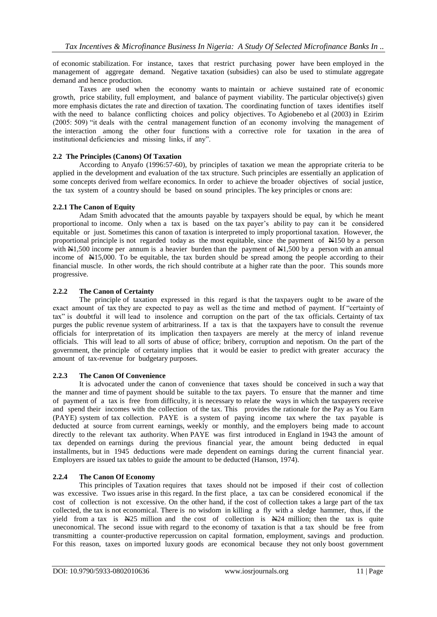of economic stabilization. For instance, taxes that restrict purchasing power have been employed in the management of aggregate demand. Negative taxation (subsidies) can also be used to stimulate aggregate demand and hence production.

Taxes are used when the economy wants to maintain or achieve sustained rate of economic growth, price stability, full employment, and balance of payment viability. The particular objective(s) given more emphasis dictates the rate and direction of taxation. The coordinating function of taxes identifies itself with the need to balance conflicting choices and policy objectives. To Agiobenebo et al (2003) in Ezirim (2005: 509) "it deals with the central management function of an economy involving the management of the interaction among the other four functions with a corrective role for taxation in the area of institutional deficiencies and missing links, if any".

## **2.2 The Principles (Canons) Of Taxation**

According to Anyafo (1996:57-60), by principles of taxation we mean the appropriate criteria to be applied in the development and evaluation of the tax structure. Such principles are essentially an application of some concepts derived from welfare economics. In order to achieve the broader objectives of social justice, the tax system of a country should be based on sound principles. The key principles or cnons are:

## **2.2.1 The Canon of Equity**

Adam Smith advocated that the amounts payable by taxpayers should be equal, by which he meant proportional to income. Only when a tax is based on the tax payer"s ability to pay can it be considered equitable or just. Sometimes this canon of taxation is interpreted to imply proportional taxation. However, the proportional principle is not regarded today as the most equitable, since the payment of  $\approx$ 150 by a person with  $N1,500$  income per annum is a heavier burden than the payment of  $N1,500$  by a person with an annual income of  $\frac{1}{2}$  15,000. To be equitable, the tax burden should be spread among the people according to their financial muscle. In other words, the rich should contribute at a higher rate than the poor. This sounds more progressive.

## **2.2.2 The Canon of Certainty**

The principle of taxation expressed in this regard is that the taxpayers ought to be aware of the exact amount of tax they are expected to pay as well as the time and method of payment. If "certainty of tax" is doubtful it will lead to insolence and corruption on the part of the tax officials. Certainty of tax purges the public revenue system of arbitrariness. If a tax is that the taxpayers have to consult the revenue officials for interpretation of its implication then taxpayers are merely at the mercy of inland revenue officials. This will lead to all sorts of abuse of office; bribery, corruption and nepotism. On the part of the government, the principle of certainty implies that it would be easier to predict with greater accuracy the amount of tax-revenue for budgetary purposes.

## **2.2.3 The Canon Of Convenience**

It is advocated under the canon of convenience that taxes should be conceived in such a way that the manner and time of payment should be suitable to the tax payers. To ensure that the manner and time of payment of a tax is free from difficulty, it is necessary to relate the ways in which the taxpayers receive and spend their incomes with the collection of the tax. This provides the rationale for the Pay as You Earn (PAYE) system of tax collection. PAYE is a system of paying income tax where the tax payable is deducted at source from current earnings, weekly or monthly, and the employers being made to account directly to the relevant tax authority. When PAYE was first introduced in England in 1943 the amount of tax depended on earnings during the previous financial year, the amount being deducted in equal installments, but in 1945 deductions were made dependent on earnings during the current financial year. Employers are issued tax tables to guide the amount to be deducted (Hanson, 1974).

## **2.2.4 The Canon Of Economy**

This principles of Taxation requires that taxes should not be imposed if their cost of collection was excessive. Two issues arise in this regard. In the first place, a tax can be considered economical if the cost of collection is not excessive. On the other hand, if the cost of collection takes a large part of the tax collected, the tax is not economical. There is no wisdom in killing a fly with a sledge hammer, thus, if the yield from a tax is N425 million and the cost of collection is N424 million; then the tax is quite uneconomical. The second issue with regard to the economy of taxation is that a tax should be free from transmitting a counter-productive repercussion on capital formation, employment, savings and production. For this reason, taxes on imported luxury goods are economical because they not only boost government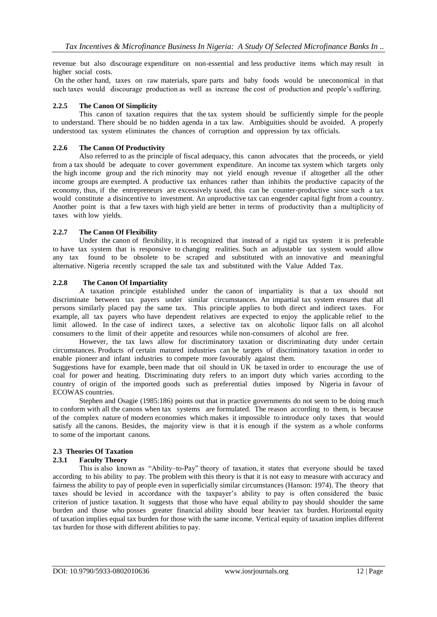revenue but also discourage expenditure on non-essential and less productive items which may result in higher social costs.

On the other hand, taxes on raw materials, spare parts and baby foods would be uneconomical in that such taxes would discourage production as well as increase the cost of production and people"s suffering.

#### **2.2.5 The Canon Of Simplicity**

This canon of taxation requires that the tax system should be sufficiently simple for the people to understand. There should be no hidden agenda in a tax law. Ambiguities should be avoided. A properly understood tax system eliminates the chances of corruption and oppression by tax officials.

## **2.2.6 The Canon Of Productivity**

Also referred to as the principle of fiscal adequacy, this canon advocates that the proceeds, or yield from a tax should be adequate to cover government expenditure. An income tax system which targets only the high income group and the rich minority may not yield enough revenue if altogether all the other income groups are exempted. A productive tax enhances rather than inhibits the productive capacity of the economy, thus, if the entrepreneurs are excessively taxed, this can be counter-productive since such a tax would constitute a disincentive to investment. An unproductive tax can engender capital fight from a country. Another point is that a few taxes with high yield are better in terms of productivity than a multiplicity of taxes with low yields.

#### **2.2.7 The Canon Of Flexibility**

Under the canon of flexibility, it is recognized that instead of a rigid tax system it is preferable to have tax system that is responsive to changing realities. Such an adjustable tax system would allow any tax found to be obsolete to be scraped and substituted with an innovative and meaningful alternative. Nigeria recently scrapped the sale tax and substituted with the Value Added Tax.

#### **2.2.8 The Canon Of Impartiality**

A taxation principle established under the canon of impartiality is that a tax should not discriminate between tax payers under similar circumstances. An impartial tax system ensures that all persons similarly placed pay the same tax. This principle applies to both direct and indirect taxes. For example, all tax payers who have dependent relatives are expected to enjoy the applicable relief to the limit allowed. In the case of indirect taxes, a selective tax on alcoholic liquor falls on all alcohol consumers to the limit of their appetite and resources while non-consumers of alcohol are free.

However, the tax laws allow for discriminatory taxation or discriminating duty under certain circumstances. Products of certain matured industries can be targets of discriminatory taxation in order to enable pioneer and infant industries to compete more favourably against them.

Suggestions have for example, been made that oil should in UK be taxed in order to encourage the use of coal for power and heating. Discriminating duty refers to an import duty which varies according to the country of origin of the imported goods such as preferential duties imposed by Nigeria in favour of ECOWAS countries.

Stephen and Osagie (1985:186) points out that in practice governments do not seem to be doing much to conform with all the canons when tax systems are formulated. The reason according to them, is because of the complex nature of modern economies which makes it impossible to introduce only taxes that would satisfy all the canons. Besides, the majority view is that it is enough if the system as a whole conforms to some of the important canons.

## **2.3 Theories Of Taxation**

## **2.3.1 Faculty Theory**

This is also known as "Ability–to-Pay" theory of taxation, it states that everyone should be taxed according to his ability to pay. The problem with this theory is that it is not easy to measure with accuracy and fairness the ability to pay of people even in superficially similar circumstances (Hanson: 1974). The theory that taxes should be levied in accordance with the taxpayer"s ability to pay is often considered the basic criterion of justice taxation. It suggests that those who have equal ability to pay should shoulder the same burden and those who posses greater financial ability should bear heavier tax burden. Horizontal equity of taxation implies equal tax burden for those with the same income. Vertical equity of taxation implies different tax burden for those with different abilities to pay.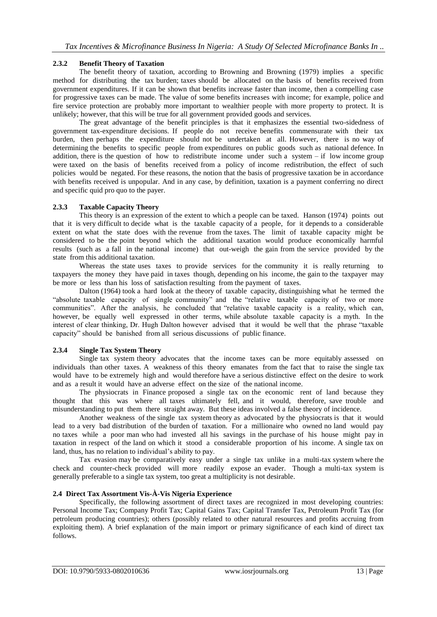## **2.3.2 Benefit Theory of Taxation**

The benefit theory of taxation, according to Browning and Browning (1979) implies a specific method for distributing the tax burden; taxes should be allocated on the basis of benefits received from government expenditures. If it can be shown that benefits increase faster than income, then a compelling case for progressive taxes can be made. The value of some benefits increases with income; for example, police and fire service protection are probably more important to wealthier people with more property to protect. It is unlikely; however, that this will be true for all government provided goods and services.

The great advantage of the benefit principles is that it emphasizes the essential two-sidedness of government tax-expenditure decisions. If people do not receive benefits commensurate with their tax burden, then perhaps the expenditure should not be undertaken at all. However, there is no way of determining the benefits to specific people from expenditures on public goods such as national defence. In addition, there is the question of how to redistribute income under such a system – if low income group were taxed on the basis of benefits received from a policy of income redistribution, the effect of such policies would be negated. For these reasons, the notion that the basis of progressive taxation be in accordance with benefits received is unpopular. And in any case, by definition, taxation is a payment conferring no direct and specific quid pro quo to the payer.

## **2.3.3 Taxable Capacity Theory**

This theory is an expression of the extent to which a people can be taxed. Hanson (1974) points out that it is very difficult to decide what is the taxable capacity of a people, for it depends to a considerable extent on what the state does with the revenue from the taxes. The limit of taxable capacity might be considered to be the point beyond which the additional taxation would produce economically harmful results (such as a fall in the national income) that out-weigh the gain from the service provided by the state from this additional taxation.

Whereas the state uses taxes to provide services for the community it is really returning to taxpayers the money they have paid in taxes though, depending on his income, the gain to the taxpayer may be more or less than his loss of satisfaction resulting from the payment of taxes.

Dalton (1964) took a hard look at the theory of taxable capacity, distinguishing what he termed the "absolute taxable capacity of single community" and the "relative taxable capacity of two or more communities". After the analysis, he concluded that "relative taxable capacity is a reality, which can, however, be equally well expressed in other terms, while absolute taxable capacity is a myth. In the interest of clear thinking, Dr. Hugh Dalton however advised that it would be well that the phrase "taxable capacity" should be banished from all serious discussions of public finance.

## **2.3.4 Single Tax System Theory**

Single tax system theory advocates that the income taxes can be more equitably assessed on individuals than other taxes. A weakness of this theory emanates from the fact that to raise the single tax would have to be extremely high and would therefore have a serious distinctive effect on the desire to work and as a result it would have an adverse effect on the size of the national income.

The physiocrats in Finance proposed a single tax on the economic rent of land because they thought that this was where all taxes ultimately fell, and it would, therefore, save trouble and misunderstanding to put them there straight away. But these ideas involved a false theory of incidence.

Another weakness of the single tax system theory as advocated by the physiocrats is that it would lead to a very bad distribution of the burden of taxation. For a millionaire who owned no land would pay no taxes while a poor man who had invested all his savings in the purchase of his house might pay in taxation in respect of the land on which it stood a considerable proportion of his income. A single tax on land, thus, has no relation to individual's ability to pay.

Tax evasion may be comparatively easy under a single tax unlike in a multi-tax system where the check and counter-check provided will more readily expose an evader. Though a multi-tax system is generally preferable to a single tax system, too great a multiplicity is not desirable.

## **2.4 Direct Tax Assortment Vis-À-Vis Nigeria Experience**

Specifically, the following assortment of direct taxes are recognized in most developing countries: Personal Income Tax; Company Profit Tax; Capital Gains Tax; Capital Transfer Tax, Petroleum Profit Tax (for petroleum producing countries); others (possibly related to other natural resources and profits accruing from exploiting them). A brief explanation of the main import or primary significance of each kind of direct tax follows.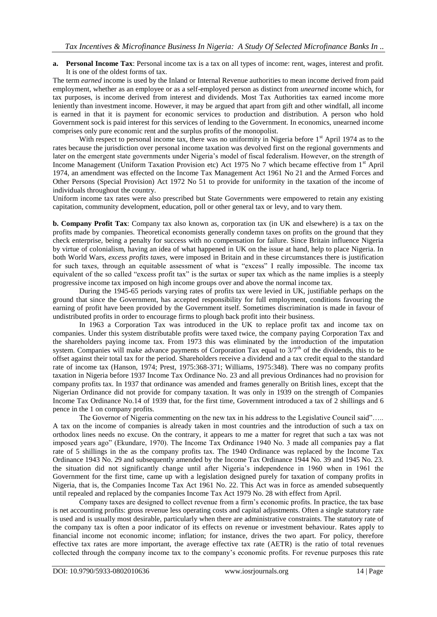**a. Personal Income Tax**: Personal income tax is a tax on all types of income: rent, wages, interest and profit. It is one of the oldest forms of tax.

The term *earned* income is used by the Inland or Internal Revenue authorities to mean income derived from paid employment, whether as an employee or as a self-employed person as distinct from *unearned* income which, for tax purposes, is income derived from interest and dividends. Most Tax Authorities tax earned income more leniently than investment income. However, it may be argued that apart from gift and other windfall, all income is earned in that it is payment for economic services to production and distribution. A person who hold Government sock is paid interest for this services of lending to the Government. In economics, unearned income comprises only pure economic rent and the surplus profits of the monopolist.

With respect to personal income tax, there was no uniformity in Nigeria before 1<sup>st</sup> April 1974 as to the rates because the jurisdiction over personal income taxation was devolved first on the regional governments and later on the emergent state governments under Nigeria's model of fiscal federalism. However, on the strength of Income Management (Uniform Taxation Provision etc) Act 1975 No 7 which became effective from 1<sup>st</sup> April 1974, an amendment was effected on the Income Tax Management Act 1961 No 21 and the Armed Forces and Other Persons (Special Provision) Act 1972 No 51 to provide for uniformity in the taxation of the income of individuals throughout the country.

Uniform income tax rates were also prescribed but State Governments were empowered to retain any existing capitation, community development, education, poll or other general tax or levy, and to vary them.

**b. Company Profit Tax**: Company tax also known as, corporation tax (in UK and elsewhere) is a tax on the profits made by companies. Theoretical economists generally condemn taxes on profits on the ground that they check enterprise, being a penalty for success with no compensation for failure. Since Britain influence Nigeria by virtue of colonialism, having an idea of what happened in UK on the issue at hand, help to place Nigeria. In both World Wars, *excess profits taxes,* were imposed in Britain and in these circumstances there is justification for such taxes, through an equitable assessment of what is "excess" I really impossible. The income tax equivalent of the so called "excess profit tax" is the surtax or super tax which as the name implies is a steeply progressive income tax imposed on high income groups over and above the normal income tax.

During the 1945-65 periods varying rates of profits tax were levied in UK, justifiable perhaps on the ground that since the Government, has accepted responsibility for full employment, conditions favouring the earning of profit have been provided by the Government itself. Sometimes discrimination is made in favour of undistributed profits in order to encourage firms to plough back profit into their business.

In 1963 a Corporation Tax was introduced in the UK to replace profit tax and income tax on companies. Under this system distributable profits were taxed twice, the company paying Corporation Tax and the shareholders paying income tax. From 1973 this was eliminated by the introduction of the imputation system. Companies will make advance payments of Corporation Tax equal to  $3/7<sup>th</sup>$  of the dividends, this to be offset against their total tax for the period. Shareholders receive a dividend and a tax credit equal to the standard rate of income tax (Hanson, 1974; Prest, 1975:368-371; Williams, 1975:348). There was no company profits taxation in Nigeria before 1937 Income Tax Ordinance No. 23 and all previous Ordinances had no provision for company profits tax. In 1937 that ordinance was amended and frames generally on British lines, except that the Nigerian Ordinance did not provide for company taxation. It was only in 1939 on the strength of Companies Income Tax Ordinance No.14 of 1939 that, for the first time, Government introduced a tax of 2 shillings and 6 pence in the 1 on company profits.

The Governor of Nigeria commenting on the new tax in his address to the Legislative Council said"..... A tax on the income of companies is already taken in most countries and the introduction of such a tax on orthodox lines needs no excuse. On the contrary, it appears to me a matter for regret that such a tax was not imposed years ago" (Ekundare, 1970). The Income Tax Ordinance 1940 No. 3 made all companies pay a flat rate of 5 shillings in the as the company profits tax. The 1940 Ordinance was replaced by the Income Tax Ordinance 1943 No. 29 and subsequently amended by the Income Tax Ordinance 1944 No. 39 and 1945 No. 23. the situation did not significantly change until after Nigeria"s independence in 1960 when in 1961 the Government for the first time, came up with a legislation designed purely for taxation of company profits in Nigeria, that is, the Companies Income Tax Act 1961 No. 22. This Act was in force as amended subsequently until repealed and replaced by the companies Income Tax Act 1979 No. 28 with effect from April.

Company taxes are designed to collect revenue from a firm"s economic profits. In practice, the tax base is net accounting profits: gross revenue less operating costs and capital adjustments. Often a single statutory rate is used and is usually most desirable, particularly when there are administrative constraints. The statutory rate of the company tax is often a poor indicator of its effects on revenue or investment behaviour. Rates apply to financial income not economic income; inflation; for instance, drives the two apart. For policy, therefore effective tax rates are more important, the average effective tax rate (AETR) is the ratio of total revenues collected through the company income tax to the company"s economic profits. For revenue purposes this rate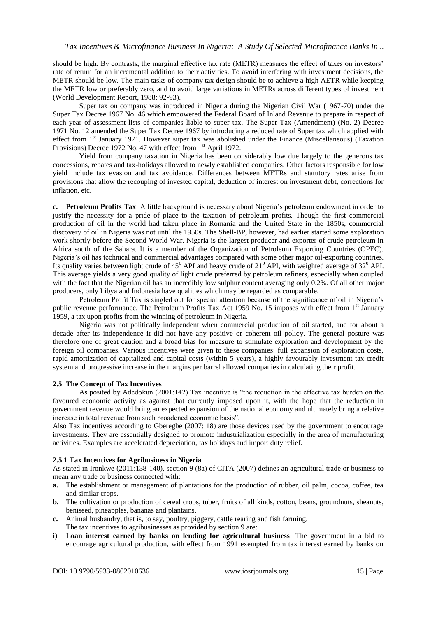should be high. By contrasts, the marginal effective tax rate (METR) measures the effect of taxes on investors" rate of return for an incremental addition to their activities. To avoid interfering with investment decisions, the METR should be low. The main tasks of company tax design should be to achieve a high AETR while keeping the METR low or preferably zero, and to avoid large variations in METRs across different types of investment (World Development Report, 1988: 92-93).

Super tax on company was introduced in Nigeria during the Nigerian Civil War (1967-70) under the Super Tax Decree 1967 No. 46 which empowered the Federal Board of Inland Revenue to prepare in respect of each year of assessment lists of companies liable to super tax. The Super Tax (Amendment) (No. 2) Decree 1971 No. 12 amended the Super Tax Decree 1967 by introducing a reduced rate of Super tax which applied with effect from 1st January 1971. However super tax was abolished under the Finance (Miscellaneous) (Taxation Provisions) Decree 1972 No. 47 with effect from 1<sup>st</sup> April 1972.

Yield from company taxation in Nigeria has been considerably low due largely to the generous tax concessions, rebates and tax-holidays allowed to newly established companies. Other factors responsible for low yield include tax evasion and tax avoidance. Differences between METRs and statutory rates arise from provisions that allow the recouping of invested capital, deduction of interest on investment debt, corrections for inflation, etc.

**c. Petroleum Profits Tax**: A little background is necessary about Nigeria"s petroleum endowment in order to justify the necessity for a pride of place to the taxation of petroleum profits. Though the first commercial production of oil in the world had taken place in Romania and the United State in the 1850s, commercial discovery of oil in Nigeria was not until the 1950s. The Shell-BP, however, had earlier started some exploration work shortly before the Second World War. Nigeria is the largest producer and exporter of crude petroleum in Africa south of the Sahara. It is a member of the Organization of Petroleum Exporting Countries (OPEC). Nigeria"s oil has technical and commercial advantages compared with some other major oil-exporting countries. Its quality varies between light crude of  $45^{\circ}$  API and heavy crude of  $21^{\circ}$  API, with weighted average of  $32^{\circ}$  API. This average yields a very good quality of light crude preferred by petroleum refiners, especially when coupled with the fact that the Nigerian oil has an incredibly low sulphur content averaging only 0.2%. Of all other major producers, only Libya and Indonesia have qualities which may be regarded as comparable.

Petroleum Profit Tax is singled out for special attention because of the significance of oil in Nigeria's public revenue performance. The Petroleum Profits Tax Act 1959 No. 15 imposes with effect from 1<sup>st</sup> January 1959, a tax upon profits from the winning of petroleum in Nigeria.

Nigeria was not politically independent when commercial production of oil started, and for about a decade after its independence it did not have any positive or coherent oil policy. The general posture was therefore one of great caution and a broad bias for measure to stimulate exploration and development by the foreign oil companies. Various incentives were given to these companies: full expansion of exploration costs, rapid amortization of capitalized and capital costs (within 5 years), a highly favourably investment tax credit system and progressive increase in the margins per barrel allowed companies in calculating their profit.

## **2.5 The Concept of Tax Incentives**

As posited by Adedokun (2001:142) Tax incentive is "the reduction in the effective tax burden on the favoured economic activity as against that currently imposed upon it, with the hope that the reduction in government revenue would bring an expected expansion of the national economy and ultimately bring a relative increase in total revenue from such broadened economic basis".

Also Tax incentives according to Gberegbe (2007: 18) are those devices used by the government to encourage investments. They are essentially designed to promote industrialization especially in the area of manufacturing activities. Examples are accelerated depreciation, tax holidays and import duty relief.

## **2.5.1 Tax Incentives for Agribusiness in Nigeria**

As stated in Ironkwe (2011:138-140), section 9 (8a) of CITA (2007) defines an agricultural trade or business to mean any trade or business connected with:

- **a.** The establishment or management of plantations for the production of rubber, oil palm, cocoa, coffee, tea and similar crops.
- **b.** The cultivation or production of cereal crops, tuber, fruits of all kinds, cotton, beans, groundnuts, sheanuts, beniseed, pineapples, bananas and plantains.
- **c.** Animal husbandry, that is, to say, poultry, piggery, cattle rearing and fish farming. The tax incentives to agribusinesses as provided by section 9 are:
- **i) Loan interest earned by banks on lending for agricultural business**: The government in a bid to encourage agricultural production, with effect from 1991 exempted from tax interest earned by banks on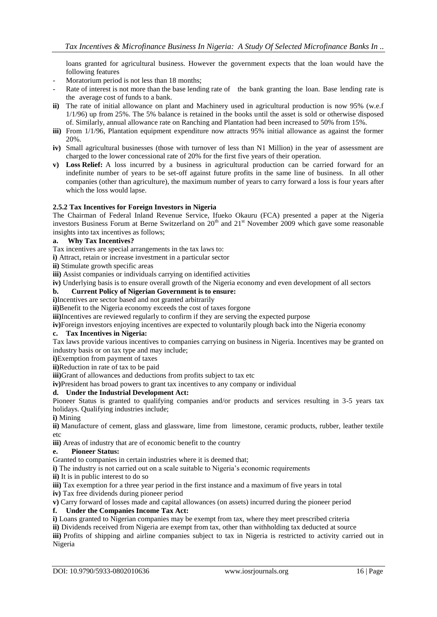loans granted for agricultural business. However the government expects that the loan would have the following features

- Moratorium period is not less than 18 months;
- Rate of interest is not more than the base lending rate of the bank granting the loan. Base lending rate is the average cost of funds to a bank.
- **ii)** The rate of initial allowance on plant and Machinery used in agricultural production is now 95% (w.e.f 1/1/96) up from 25%. The 5% balance is retained in the books until the asset is sold or otherwise disposed of. Similarly, annual allowance rate on Ranching and Plantation had been increased to 50% from 15%.
- **iii)** From 1/1/96, Plantation equipment expenditure now attracts 95% initial allowance as against the former 20%.
- **iv)** Small agricultural businesses (those with turnover of less than N1 Million) in the year of assessment are charged to the lower concessional rate of 20% for the first five years of their operation.
- **v) Loss Relief:** A loss incurred by a business in agricultural production can be carried forward for an indefinite number of years to be set-off against future profits in the same line of business. In all other companies (other than agriculture), the maximum number of years to carry forward a loss is four years after which the loss would lapse.

## **2.5.2 Tax Incentives for Foreign Investors in Nigeria**

The Chairman of Federal Inland Revenue Service, Ifueko Okauru (FCA) presented a paper at the Nigeria investors Business Forum at Berne Switzerland on 20<sup>th</sup> and 21<sup>st</sup> November 2009 which gave some reasonable insights into tax incentives as follows;

## **a. Why Tax Incentives?**

Tax incentives are special arrangements in the tax laws to:

**i)** Attract, retain or increase investment in a particular sector

**ii)** Stimulate growth specific areas

**iii)** Assist companies or individuals carrying on identified activities

**iv)** Underlying basis is to ensure overall growth of the Nigeria economy and even development of all sectors

## **b. Current Policy of Nigerian Government is to ensure:**

**i)**Incentives are sector based and not granted arbitrarily

**ii)**Benefit to the Nigeria economy exceeds the cost of taxes forgone

**iii)**Incentives are reviewed regularly to confirm if they are serving the expected purpose

**iv)**Foreign investors enjoying incentives are expected to voluntarily plough back into the Nigeria economy **c. Tax Incentives in Nigeria:**

Tax laws provide various incentives to companies carrying on business in Nigeria. Incentives may be granted on industry basis or on tax type and may include;

**i)**Exemption from payment of taxes

**ii)**Reduction in rate of tax to be paid

**iii)**Grant of allowances and deductions from profits subject to tax etc

**iv)**President has broad powers to grant tax incentives to any company or individual

## **d. Under the Industrial Development Act:**

Pioneer Status is granted to qualifying companies and/or products and services resulting in 3-5 years tax holidays. Qualifying industries include;

**i)** Mining

**ii)** Manufacture of cement, glass and glassware, lime from limestone, ceramic products, rubber, leather textile etc

**iii)** Areas of industry that are of economic benefit to the country

## **e. Pioneer Status:**

Granted to companies in certain industries where it is deemed that;

**i**) The industry is not carried out on a scale suitable to Nigeria's economic requirements

**ii)** It is in public interest to do so

**iii)** Tax exemption for a three year period in the first instance and a maximum of five years in total

**iv)** Tax free dividends during pioneer period

**v)** Carry forward of losses made and capital allowances (on assets) incurred during the pioneer period

## **f. Under the Companies Income Tax Act:**

**i)** Loans granted to Nigerian companies may be exempt from tax, where they meet prescribed criteria

**ii)** Dividends received from Nigeria are exempt from tax, other than withholding tax deducted at source

**iii)** Profits of shipping and airline companies subject to tax in Nigeria is restricted to activity carried out in Nigeria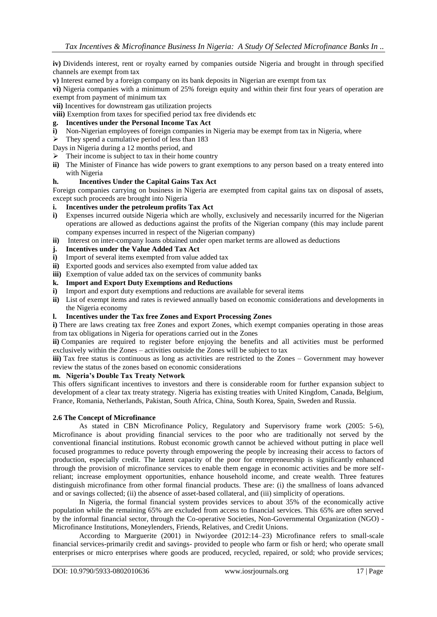**iv)** Dividends interest, rent or royalty earned by companies outside Nigeria and brought in through specified channels are exempt from tax

**v)** Interest earned by a foreign company on its bank deposits in Nigerian are exempt from tax

**vi)** Nigeria companies with a minimum of 25% foreign equity and within their first four years of operation are exempt from payment of minimum tax

**vii)** Incentives for downstream gas utilization projects

**viii)** Exemption from taxes for specified period tax free dividends etc

## **g. Incentives under the Personal Income Tax Act**

**i)** Non-Nigerian employees of foreign companies in Nigeria may be exempt from tax in Nigeria, where

## $\triangleright$  They spend a cumulative period of less than 183

- Days in Nigeria during a 12 months period, and
- Their income is subject to tax in their home country
- **ii)** The Minister of Finance has wide powers to grant exemptions to any person based on a treaty entered into with Nigeria

## **h. Incentives Under the Capital Gains Tax Act**

Foreign companies carrying on business in Nigeria are exempted from capital gains tax on disposal of assets, except such proceeds are brought into Nigeria

## **i. Incentives under the petroleum profits Tax Act**

- **i**) Expenses incurred outside Nigeria which are wholly, exclusively and necessarily incurred for the Nigerian operations are allowed as deductions against the profits of the Nigerian company (this may include parent company expenses incurred in respect of the Nigerian company)
- **ii)** Interest on inter-company loans obtained under open market terms are allowed as deductions

## **j. Incentives under the Value Added Tax Act**

- **i)** Import of several items exempted from value added tax
- **ii)** Exported goods and services also exempted from value added tax
- **iii**) Exemption of value added tax on the services of community banks

## **k. Import and Export Duty Exemptions and Reductions**

- **i)** Import and export duty exemptions and reductions are available for several items
- **ii)** List of exempt items and rates is reviewed annually based on economic considerations and developments in the Nigeria economy

#### **l. Incentives under the Tax free Zones and Export Processing Zones**

**i)** There are laws creating tax free Zones and export Zones, which exempt companies operating in those areas from tax obligations in Nigeria for operations carried out in the Zones

**ii)** Companies are required to register before enjoying the benefits and all activities must be performed exclusively within the Zones – activities outside the Zones will be subject to tax

**iii)** Tax free status is continuous as long as activities are restricted to the Zones – Government may however review the status of the zones based on economic considerations

#### **m. Nigeria's Double Tax Treaty Network**

This offers significant incentives to investors and there is considerable room for further expansion subject to development of a clear tax treaty strategy. Nigeria has existing treaties with United Kingdom, Canada, Belgium, France, Romania, Netherlands, Pakistan, South Africa, China, South Korea, Spain, Sweden and Russia.

## **2.6 The Concept of Microfinance**

As stated in CBN Microfinance Policy, Regulatory and Supervisory frame work (2005: 5-6), Microfinance is about providing financial services to the poor who are traditionally not served by the conventional financial institutions. Robust economic growth cannot be achieved without putting in place well focused programmes to reduce poverty through empowering the people by increasing their access to factors of production, especially credit. The latent capacity of the poor for entrepreneurship is significantly enhanced through the provision of microfinance services to enable them engage in economic activities and be more selfreliant; increase employment opportunities, enhance household income, and create wealth. Three features distinguish microfinance from other formal financial products. These are: (i) the smallness of loans advanced and or savings collected; (ii) the absence of asset-based collateral, and (iii) simplicity of operations.

In Nigeria, the formal financial system provides services to about 35% of the economically active population while the remaining 65% are excluded from access to financial services. This 65% are often served by the informal financial sector, through the Co-operative Societies, Non-Governmental Organization (NGO) - Microfinance Institutions, Moneylenders, Friends, Relatives, and Credit Unions.

According to Marguerite (2001) in Nwiyordee (2012:14–23) Microfinance refers to small-scale financial services-primarily credit and savings- provided to people who farm or fish or herd; who operate small enterprises or micro enterprises where goods are produced, recycled, repaired, or sold; who provide services;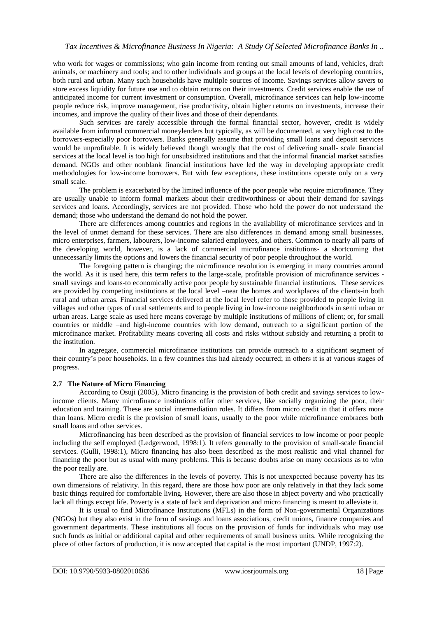who work for wages or commissions; who gain income from renting out small amounts of land, vehicles, draft animals, or machinery and tools; and to other individuals and groups at the local levels of developing countries, both rural and urban. Many such households have multiple sources of income. Savings services allow savers to store excess liquidity for future use and to obtain returns on their investments. Credit services enable the use of anticipated income for current investment or consumption. Overall, microfinance services can help low-income people reduce risk, improve management, rise productivity, obtain higher returns on investments, increase their incomes, and improve the quality of their lives and those of their dependants.

Such services are rarely accessible through the formal financial sector, however, credit is widely available from informal commercial moneylenders but typically, as will be documented, at very high cost to the borrowers-especially poor borrowers. Banks generally assume that providing small loans and deposit services would be unprofitable. It is widely believed though wrongly that the cost of delivering small- scale financial services at the local level is too high for unsubsidized institutions and that the informal financial market satisfies demand. NGOs and other nonblank financial institutions have led the way in developing appropriate credit methodologies for low-income borrowers. But with few exceptions, these institutions operate only on a very small scale.

The problem is exacerbated by the limited influence of the poor people who require microfinance. They are usually unable to inform formal markets about their creditworthiness or about their demand for savings services and loans. Accordingly, services are not provided. Those who hold the power do not understand the demand; those who understand the demand do not hold the power.

There are differences among countries and regions in the availability of microfinance services and in the level of unmet demand for these services. There are also differences in demand among small businesses, micro enterprises, farmers, labourers, low-income salaried employees, and others. Common to nearly all parts of the developing world, however, is a lack of commercial microfinance institutions- a shortcoming that unnecessarily limits the options and lowers the financial security of poor people throughout the world.

The foregoing pattern is changing; the microfinance revolution is emerging in many countries around the world. As it is used here, this term refers to the large-scale, profitable provision of microfinance services small savings and loans-to economically active poor people by sustainable financial institutions. These services are provided by competing institutions at the local level –near the homes and workplaces of the clients-in both rural and urban areas. Financial services delivered at the local level refer to those provided to people living in villages and other types of rural settlements and to people living in low-income neighborhoods in semi urban or urban areas. Large scale as used here means coverage by multiple institutions of millions of client; or, for small countries or middle –and high-income countries with low demand, outreach to a significant portion of the microfinance market. Profitability means covering all costs and risks without subsidy and returning a profit to the institution.

In aggregate, commercial microfinance institutions can provide outreach to a significant segment of their country"s poor households. In a few countries this had already occurred; in others it is at various stages of progress.

## **2.7 The Nature of Micro Financing**

According to Osuji (2005), Micro financing is the provision of both credit and savings services to lowincome clients. Many microfinance institutions offer other services, like socially organizing the poor, their education and training. These are social intermediation roles. It differs from micro credit in that it offers more than loans. Micro credit is the provision of small loans, usually to the poor while microfinance embraces both small loans and other services.

Microfinancing has been described as the provision of financial services to low income or poor people including the self employed (Ledgerwood, 1998:1). It refers generally to the provision of small-scale financial services. (Gulli, 1998:1), Micro financing has also been described as the most realistic and vital channel for financing the poor but as usual with many problems. This is because doubts arise on many occasions as to who the poor really are.

There are also the differences in the levels of poverty. This is not unexpected because poverty has its own dimensions of relativity. In this regard, there are those how poor are only relatively in that they lack some basic things required for comfortable living. However, there are also those in abject poverty and who practically lack all things except life. Poverty is a state of lack and deprivation and micro financing is meant to alleviate it.

It is usual to find Microfinance Institutions (MFLs) in the form of Non-governmental Organizations (NGOs) but they also exist in the form of savings and loans associations, credit unions, finance companies and government departments. These institutions all focus on the provision of funds for individuals who may use such funds as initial or additional capital and other requirements of small business units. While recognizing the place of other factors of production, it is now accepted that capital is the most important (UNDP, 1997:2).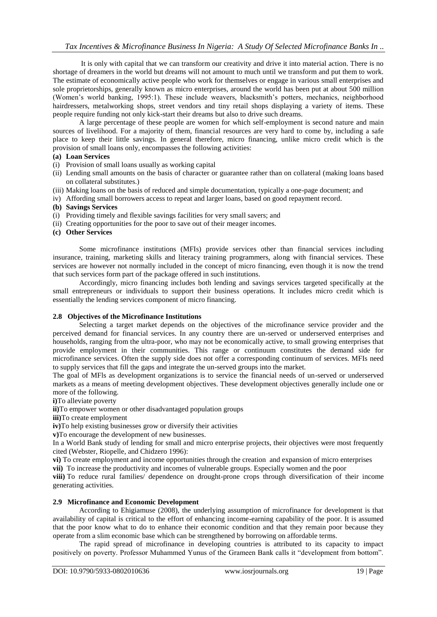It is only with capital that we can transform our creativity and drive it into material action. There is no shortage of dreamers in the world but dreams will not amount to much until we transform and put them to work. The estimate of economically active people who work for themselves or engage in various small enterprises and sole proprietorships, generally known as micro enterprises, around the world has been put at about 500 million (Women"s world banking, 1995:1). These include weavers, blacksmith"s potters, mechanics, neighborhood hairdressers, metalworking shops, street vendors and tiny retail shops displaying a variety of items. These people require funding not only kick-start their dreams but also to drive such dreams.

A large percentage of these people are women for which self-employment is second nature and main sources of livelihood. For a majority of them, financial resources are very hard to come by, including a safe place to keep their little savings. In general therefore, micro financing, unlike micro credit which is the provision of small loans only, encompasses the following activities:

## **(a) Loan Services**

- (i) Provision of small loans usually as working capital
- (ii) Lending small amounts on the basis of character or guarantee rather than on collateral (making loans based on collateral substitutes.)
- (iii) Making loans on the basis of reduced and simple documentation, typically a one-page document; and
- iv) Affording small borrowers access to repeat and larger loans, based on good repayment record.
- **(b) Savings Services**
- (i) Providing timely and flexible savings facilities for very small savers; and
- (ii) Creating opportunities for the poor to save out of their meager incomes.

## **(c) Other Services**

Some microfinance institutions (MFIs) provide services other than financial services including insurance, training, marketing skills and literacy training programmers, along with financial services. These services are however not normally included in the concept of micro financing, even though it is now the trend that such services form part of the package offered in such institutions.

Accordingly, micro financing includes both lending and savings services targeted specifically at the small entrepreneurs or individuals to support their business operations. It includes micro credit which is essentially the lending services component of micro financing.

## **2.8 Objectives of the Microfinance Institutions**

Selecting a target market depends on the objectives of the microfinance service provider and the perceived demand for financial services. In any country there are un-served or underserved enterprises and households, ranging from the ultra-poor, who may not be economically active, to small growing enterprises that provide employment in their communities. This range or continuum constitutes the demand side for microfinance services. Often the supply side does not offer a corresponding continuum of services. MFIs need to supply services that fill the gaps and integrate the un-served groups into the market.

The goal of MFls as development organizations is to service the financial needs of un-served or underserved markets as a means of meeting development objectives. These development objectives generally include one or more of the following.

**i)**To alleviate poverty

**ii)**To empower women or other disadvantaged population groups

**iii)**To create employment

**iv)**To help existing businesses grow or diversify their activities

**v)**To encourage the development of new businesses.

In a World Bank study of lending for small and micro enterprise projects, their objectives were most frequently cited (Webster, Riopelle, and Chidzero 1996):

**vi)** To create employment and income opportunities through the creation and expansion of micro enterprises

**vii)** To increase the productivity and incomes of vulnerable groups. Especially women and the poor

**viii)** To reduce rural families/ dependence on drought-prone crops through diversification of their income generating activities.

## **2.9 Microfinance and Economic Development**

According to Ehigiamuse (2008), the underlying assumption of microfinance for development is that availability of capital is critical to the effort of enhancing income-earning capability of the poor. It is assumed that the poor know what to do to enhance their economic condition and that they remain poor because they operate from a slim economic base which can be strengthened by borrowing on affordable terms.

The rapid spread of microfinance in developing countries is attributed to its capacity to impact positively on poverty. Professor Muhammed Yunus of the Grameen Bank calls it "development from bottom".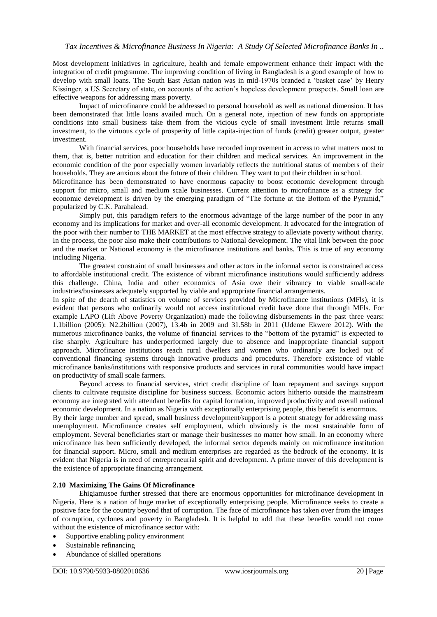Most development initiatives in agriculture, health and female empowerment enhance their impact with the integration of credit programme. The improving condition of living in Bangladesh is a good example of how to develop with small loans. The South East Asian nation was in mid-1970s branded a "basket case" by Henry Kissinger, a US Secretary of state, on accounts of the action"s hopeless development prospects. Small loan are effective weapons for addressing mass poverty.

Impact of microfinance could be addressed to personal household as well as national dimension. It has been demonstrated that little loans availed much. On a general note, injection of new funds on appropriate conditions into small business take them from the vicious cycle of small investment little returns small investment, to the virtuous cycle of prosperity of little capita-injection of funds (credit) greater output, greater investment.

With financial services, poor households have recorded improvement in access to what matters most to them, that is, better nutrition and education for their children and medical services. An improvement in the economic condition of the poor especially women invariably reflects the nutritional status of members of their households. They are anxious about the future of their children. They want to put their children in school.

Microfinance has been demonstrated to have enormous capacity to boost economic development through support for micro, small and medium scale businesses. Current attention to microfinance as a strategy for economic development is driven by the emerging paradigm of "The fortune at the Bottom of the Pyramid," popularized by C.K. Parahalead.

Simply put, this paradigm refers to the enormous advantage of the large number of the poor in any economy and its implications for market and over-all economic development. It advocated for the integration of the poor with their number to THE MARKET at the most effective strategy to alleviate poverty without charity. In the process, the poor also make their contributions to National development. The vital link between the poor and the market or National economy is the microfinance institutions and banks. This is true of any economy including Nigeria.

The greatest constraint of small businesses and other actors in the informal sector is constrained access to affordable institutional credit. The existence of vibrant microfinance institutions would sufficiently address this challenge. China, India and other economics of Asia owe their vibrancy to viable small-scale industries/businesses adequately supported by viable and appropriate financial arrangements.

In spite of the dearth of statistics on volume of services provided by Microfinance institutions (MFls), it is evident that persons who ordinarily would not access institutional credit have done that through MFls. For example LAPO (Lift Above Poverty Organization) made the following disbursements in the past three years: 1.1billion (2005): N2.2billion (2007), 13.4b in 2009 and 31.58b in 2011 (Udeme Ekwere 2012). With the numerous microfinance banks, the volume of financial services to the "bottom of the pyramid" is expected to rise sharply. Agriculture has underperformed largely due to absence and inappropriate financial support approach. Microfinance institutions reach rural dwellers and women who ordinarily are locked out of conventional financing systems through innovative products and procedures. Therefore existence of viable microfinance banks/institutions with responsive products and services in rural communities would have impact on productivity of small scale farmers.

Beyond access to financial services, strict credit discipline of loan repayment and savings support clients to cultivate requisite discipline for business success. Economic actors hitherto outside the mainstream economy are integrated with attendant benefits for capital formation, improved productivity and overall national economic development. In a nation as Nigeria with exceptionally enterprising people, this benefit is enormous.

By their large number and spread, small business development/support is a potent strategy for addressing mass unemployment. Microfinance creates self employment, which obviously is the most sustainable form of employment. Several beneficiaries start or manage their businesses no matter how small. In an economy where microfinance has been sufficiently developed, the informal sector depends mainly on microfinance institution for financial support. Micro, small and medium enterprises are regarded as the bedrock of the economy. It is evident that Nigeria is in need of entrepreneurial spirit and development. A prime mover of this development is the existence of appropriate financing arrangement.

## **2.10 Maximizing The Gains Of Microfinance**

Ehigiamusoe further stressed that there are enormous opportunities for microfinance development in Nigeria. Here is a nation of huge market of exceptionally enterprising people. Microfinance seeks to create a positive face for the country beyond that of corruption. The face of microfinance has taken over from the images of corruption, cyclones and poverty in Bangladesh. It is helpful to add that these benefits would not come without the existence of microfinance sector with:

- Supportive enabling policy environment
- Sustainable refinancing
- Abundance of skilled operations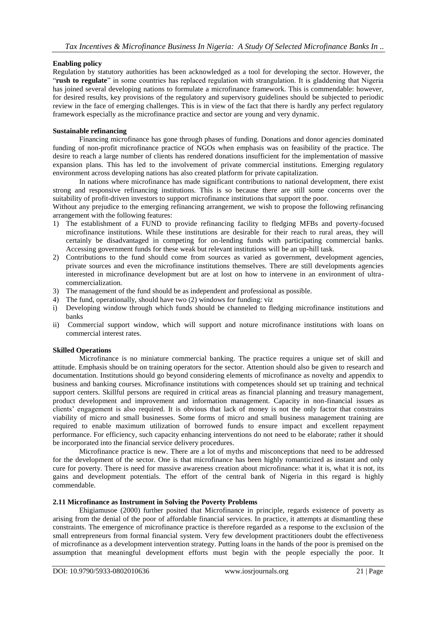## **Enabling policy**

Regulation by statutory authorities has been acknowledged as a tool for developing the sector. However, the "**rush to regulate**" in some countries has replaced regulation with strangulation. It is gladdening that Nigeria has joined several developing nations to formulate a microfinance framework. This is commendable: however, for desired results, key provisions of the regulatory and supervisory guidelines should be subjected to periodic review in the face of emerging challenges. This is in view of the fact that there is hardly any perfect regulatory framework especially as the microfinance practice and sector are young and very dynamic.

## **Sustainable refinancing**

Financing microfinance has gone through phases of funding. Donations and donor agencies dominated funding of non-profit microfinance practice of NGOs when emphasis was on feasibility of the practice. The desire to reach a large number of clients has rendered donations insufficient for the implementation of massive expansion plans. This has led to the involvement of private commercial institutions. Emerging regulatory environment across developing nations has also created platform for private capitalization.

In nations where microfinance has made significant contributions to national development, there exist strong and responsive refinancing institutions. This is so because there are still some concerns over the suitability of profit-driven investors to support microfinance institutions that support the poor.

Without any prejudice to the emerging refinancing arrangement, we wish to propose the following refinancing arrangement with the following features:

- 1) The establishment of a FUND to provide refinancing facility to fledging MFBs and poverty-focused microfinance institutions. While these institutions are desirable for their reach to rural areas, they will certainly be disadvantaged in competing for on-lending funds with participating commercial banks. Accessing government funds for these weak but relevant institutions will be an up-hill task.
- 2) Contributions to the fund should come from sources as varied as government, development agencies, private sources and even the microfinance institutions themselves. There are still developments agencies interested in microfinance development but are at lost on how to intervene in an environment of ultracommercialization.
- 3) The management of the fund should be as independent and professional as possible.
- 4) The fund, operationally, should have two (2) windows for funding: viz
- i) Developing window through which funds should be channeled to fledging microfinance institutions and banks
- ii) Commercial support window, which will support and noture microfinance institutions with loans on commercial interest rates.

## **Skilled Operations**

Microfinance is no miniature commercial banking. The practice requires a unique set of skill and attitude. Emphasis should be on training operators for the sector. Attention should also be given to research and documentation. Institutions should go beyond considering elements of microfinance as novelty and appendix to business and banking courses. Microfinance institutions with competences should set up training and technical support centers. Skillful persons are required in critical areas as financial planning and treasury management, product development and improvement and information management. Capacity in non-financial issues as clients" engagement is also required. It is obvious that lack of money is not the only factor that constrains viability of micro and small businesses. Some forms of micro and small business management training are required to enable maximum utilization of borrowed funds to ensure impact and excellent repayment performance. For efficiency, such capacity enhancing interventions do not need to be elaborate; rather it should be incorporated into the financial service delivery procedures.

Microfinance practice is new. There are a lot of myths and misconceptions that need to be addressed for the development of the sector. One is that microfinance has been highly romanticized as instant and only cure for poverty. There is need for massive awareness creation about microfinance: what it is, what it is not, its gains and development potentials. The effort of the central bank of Nigeria in this regard is highly commendable.

## **2.11 Microfinance as Instrument in Solving the Poverty Problems**

Ehigiamusoe (2000) further posited that Microfinance in principle, regards existence of poverty as arising from the denial of the poor of affordable financial services. In practice, it attempts at dismantling these constraints. The emergence of microfinance practice is therefore regarded as a response to the exclusion of the small entrepreneurs from formal financial system. Very few development practitioners doubt the effectiveness of microfinance as a development intervention strategy. Putting loans in the hands of the poor is premised on the assumption that meaningful development efforts must begin with the people especially the poor. It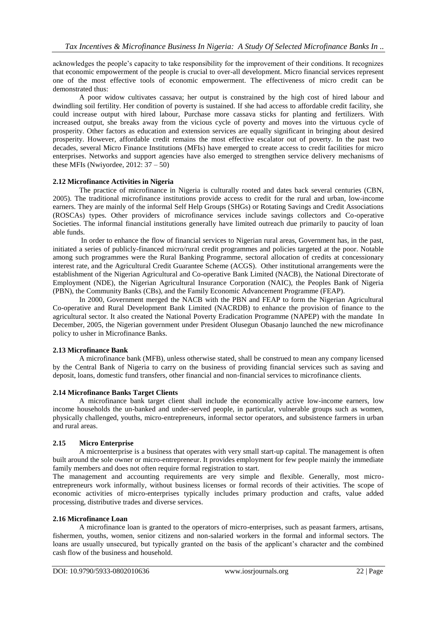acknowledges the people"s capacity to take responsibility for the improvement of their conditions. It recognizes that economic empowerment of the people is crucial to over-all development. Micro financial services represent one of the most effective tools of economic empowerment. The effectiveness of micro credit can be demonstrated thus:

A poor widow cultivates cassava; her output is constrained by the high cost of hired labour and dwindling soil fertility. Her condition of poverty is sustained. If she had access to affordable credit facility, she could increase output with hired labour, Purchase more cassava sticks for planting and fertilizers. With increased output, she breaks away from the vicious cycle of poverty and moves into the virtuous cycle of prosperity. Other factors as education and extension services are equally significant in bringing about desired prosperity. However, affordable credit remains the most effective escalator out of poverty. In the past two decades, several Micro Finance Institutions (MFIs) have emerged to create access to credit facilities for micro enterprises. Networks and support agencies have also emerged to strengthen service delivery mechanisms of these MFIs (Nwiyordee,  $2012: 37 - 50$ )

## **2.12 Microfinance Activities in Nigeria**

The practice of microfinance in Nigeria is culturally rooted and dates back several centuries (CBN, 2005). The traditional microfinance institutions provide access to credit for the rural and urban, low-income earners. They are mainly of the informal Self Help Groups (SHGs) or Rotating Savings and Credit Associations (ROSCAs) types. Other providers of microfinance services include savings collectors and Co-operative Societies. The informal financial institutions generally have limited outreach due primarily to paucity of loan able funds.

In order to enhance the flow of financial services to Nigerian rural areas, Government has, in the past, initiated a series of publicly-financed micro/rural credit programmes and policies targeted at the poor. Notable among such programmes were the Rural Banking Programme, sectoral allocation of credits at concessionary interest rate, and the Agricultural Credit Guarantee Scheme (ACGS). Other institutional arrangements were the establishment of the Nigerian Agricultural and Co-operative Bank Limited (NACB), the National Directorate of Employment (NDE), the Nigerian Agricultural Insurance Corporation (NAIC), the Peoples Bank of Nigeria (PBN), the Community Banks (CBs), and the Family Economic Advancement Programme (FEAP).

In 2000, Government merged the NACB with the PBN and FEAP to form the Nigerian Agricultural Co-operative and Rural Development Bank Limited (NACRDB) to enhance the provision of finance to the agricultural sector. It also created the National Poverty Eradication Programme (NAPEP) with the mandate In December, 2005, the Nigerian government under President Olusegun Obasanjo launched the new microfinance policy to usher in Microfinance Banks.

## **2.13 Microfinance Bank**

A microfinance bank (MFB), unless otherwise stated, shall be construed to mean any company licensed by the Central Bank of Nigeria to carry on the business of providing financial services such as saving and deposit, loans, domestic fund transfers, other financial and non-financial services to microfinance clients.

## **2.14 Microfinance Banks Target Clients**

A microfinance bank target client shall include the economically active low-income earners, low income households the un-banked and under-served people, in particular, vulnerable groups such as women, physically challenged, youths, micro-entrepreneurs, informal sector operators, and subsistence farmers in urban and rural areas.

## **2.15 Micro Enterprise**

A microenterprise is a business that operates with very small start-up capital. The management is often built around the sole owner or micro-entrepreneur. It provides employment for few people mainly the immediate family members and does not often require formal registration to start.

The management and accounting requirements are very simple and flexible. Generally, most microentrepreneurs work informally, without business licenses or formal records of their activities. The scope of economic activities of micro-enterprises typically includes primary production and crafts, value added processing, distributive trades and diverse services.

## **2.16 Microfinance Loan**

A microfinance loan is granted to the operators of micro-enterprises, such as peasant farmers, artisans, fishermen, youths, women, senior citizens and non-salaried workers in the formal and informal sectors. The loans are usually unsecured, but typically granted on the basis of the applicant's character and the combined cash flow of the business and household.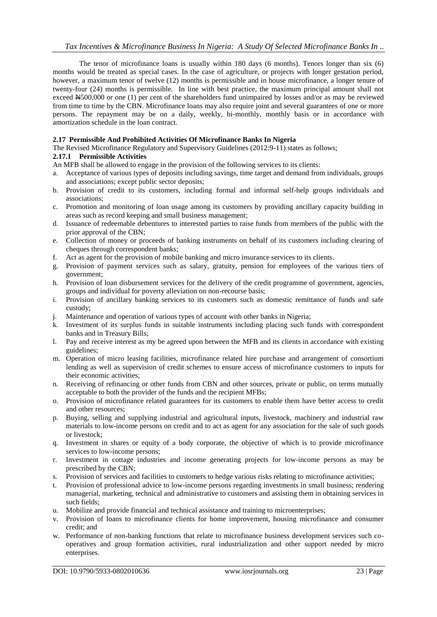The tenor of microfinance loans is usually within 180 days (6 months). Tenors longer than six (6) months would be treated as special cases. In the case of agriculture, or projects with longer gestation period, however, a maximum tenor of twelve (12) months is permissible and in house microfinance, a longer tenure of twenty-four (24) months is permissible. In line with best practice, the maximum principal amount shall not exceed N500,000 or one (1) per cent of the shareholders fund unimpaired by losses and/or as may be reviewed from time to time by the CBN. Microfinance loans may also require joint and several guarantees of one or more persons. The repayment may be on a daily, weekly, bi-monthly, monthly basis or in accordance with amortization schedule in the loan contract.

## **2.17 Permissible And Prohibited Activities Of Microfinance Banks In Nigeria**

The Revised Microfinance Regulatory and Supervisory Guidelines (2012:9-11) states as follows;

## **2.17.1 Permissible Activities**

An MFB shall be allowed to engage in the provision of the following services to its clients:

- a. Acceptance of various types of deposits including savings, time target and demand from individuals, groups and associations; except public sector deposits;
- b. Provision of credit to its customers, including formal and informal self-help groups individuals and associations;
- c. Promotion and monitoring of loan usage among its customers by providing ancillary capacity building in areas such as record keeping and small business management;
- d. Issuance of redeemable debentures to interested parties to raise funds from members of the public with the prior approval of the CBN;
- e. Collection of money or proceeds of banking instruments on behalf of its customers including clearing of cheques through correspondent banks;
- f. Act as agent for the provision of mobile banking and micro insurance services to its clients.
- g. Provision of payment services such as salary, gratuity, pension for employees of the various tiers of government;
- h. Provision of loan disbursement services for the delivery of the credit programme of government, agencies, groups and individual for poverty alleviation on non-recourse basis;
- i. Provision of ancillary banking services to its customers such as domestic remittance of funds and safe custody;
- j. Maintenance and operation of various types of account with other banks in Nigeria;
- k. Investment of its surplus funds in suitable instruments including placing such funds with correspondent banks and in Treasury Bills;
- l. Pay and receive interest as my be agreed upon between the MFB and its clients in accordance with existing guidelines;
- m. Operation of micro leasing facilities, microfinance related hire purchase and arrangement of consortium lending as well as supervision of credit schemes to ensure access of microfinance customers to inputs for their economic activities;
- n. Receiving of refinancing or other funds from CBN and other sources, private or public, on terms mutually acceptable to both the provider of the funds and the recipient MFBs;
- o. Provision of microfinance related guarantees for its customers to enable them have better access to credit and other resources;
- p. Buying, selling and supplying industrial and agricultural inputs, livestock, machinery and industrial raw materials to low-income persons on credit and to act as agent for any association for the sale of such goods or livestock;
- q. Investment in shares or equity of a body corporate, the objective of which is to provide microfinance services to low-income persons;
- r. Investment in cottage industries and income generating projects for low-income persons as may be prescribed by the CBN;
- s. Provision of services and facilities to customers to hedge various risks relating to microfinance activities;<br>t. Provision of professional advice to low-income persons regarding investments in small business: renderi
- Provision of professional advice to low-income persons regarding investments in small business; rendering managerial, marketing, technical and administrative to customers and assisting them in obtaining services in such fields;
- u. Mobilize and provide financial and technical assistance and training to microenterprises;
- v. Provision of loans to microfinance clients for home improvement, housing microfinance and consumer credit; and
- w. Performance of non-banking functions that relate to microfinance business development services such cooperatives and group formation activities, rural industrialization and other support needed by micro enterprises.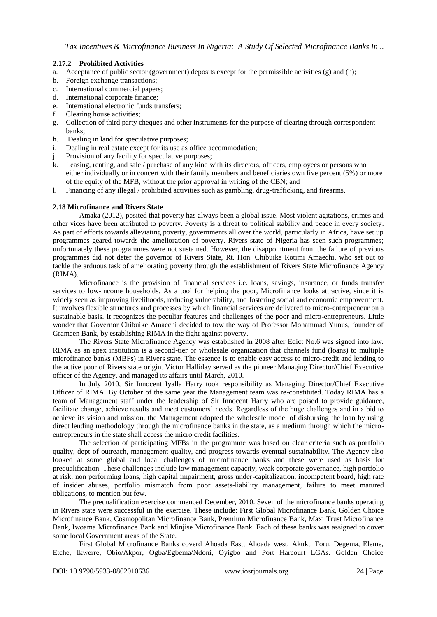## **2.17.2 Prohibited Activities**

- a. Acceptance of public sector (government) deposits except for the permissible activities  $(g)$  and (h);
- b. Foreign exchange transactions;
- c. International commercial papers;
- d. International corporate finance;
- e. International electronic funds transfers;
- f. Clearing house activities;
- g. Collection of third party cheques and other instruments for the purpose of clearing through correspondent banks;
- h. Dealing in land for speculative purposes;
- i. Dealing in real estate except for its use as office accommodation;
- j. Provision of any facility for speculative purposes;
- k. Leasing, renting, and sale / purchase of any kind with its directors, officers, employees or persons who either individually or in concert with their family members and beneficiaries own five percent (5%) or more of the equity of the MFB, without the prior approval in writing of the CBN; and
- l. Financing of any illegal / prohibited activities such as gambling, drug-trafficking, and firearms.

## **2.18 Microfinance and Rivers State**

Amaka (2012), posited that poverty has always been a global issue. Most violent agitations, crimes and other vices have been attributed to poverty. Poverty is a threat to political stability and peace in every society. As part of efforts towards alleviating poverty, governments all over the world, particularly in Africa, have set up programmes geared towards the amelioration of poverty. Rivers state of Nigeria has seen such programmes; unfortunately these programmes were not sustained. However, the disappointment from the failure of previous programmes did not deter the governor of Rivers State, Rt. Hon. Chibuike Rotimi Amaechi, who set out to tackle the arduous task of ameliorating poverty through the establishment of Rivers State Microfinance Agency (RIMA).

Microfinance is the provision of financial services i.e. loans, savings, insurance, or funds transfer services to low-income households. As a tool for helping the poor, Microfinance looks attractive, since it is widely seen as improving livelihoods, reducing vulnerability, and fostering social and economic empowerment. It involves flexible structures and processes by which financial services are delivered to micro-entrepreneur on a sustainable basis. It recognizes the peculiar features and challenges of the poor and micro-entrepreneurs. Little wonder that Governor Chibuike Amaechi decided to tow the way of Professor Mohammad Yunus, founder of Grameen Bank, by establishing RIMA in the fight against poverty.

The Rivers State Microfinance Agency was established in 2008 after Edict No.6 was signed into law. RIMA as an apex institution is a second-tier or wholesale organization that channels fund (loans) to multiple microfinance banks (MBFs) in Rivers state. The essence is to enable easy access to micro-credit and lending to the active poor of Rivers state origin. Victor Halliday served as the pioneer Managing Director/Chief Executive officer of the Agency, and managed its affairs until March, 2010.

In July 2010, Sir Innocent Iyalla Harry took responsibility as Managing Director/Chief Executive Officer of RIMA. By October of the same year the Management team was re-constituted. Today RIMA has a team of Management staff under the leadership of Sir Innocent Harry who are poised to provide guidance, facilitate change, achieve results and meet customers" needs. Regardless of the huge challenges and in a bid to achieve its vision and mission, the Management adopted the wholesale model of disbursing the loan by using direct lending methodology through the microfinance banks in the state, as a medium through which the microentrepreneurs in the state shall access the micro credit facilities.

The selection of participating MFBs in the programme was based on clear criteria such as portfolio quality, dept of outreach, management quality, and progress towards eventual sustainability. The Agency also looked at some global and local challenges of microfinance banks and these were used as basis for prequalification. These challenges include low management capacity, weak corporate governance, high portfolio at risk, non performing loans, high capital impairment, gross under-capitalization, incompetent board, high rate of insider abuses, portfolio mismatch from poor assets-liability management, failure to meet matured obligations, to mention but few.

The prequalification exercise commenced December, 2010. Seven of the microfinance banks operating in Rivers state were successful in the exercise. These include: First Global Microfinance Bank, Golden Choice Microfinance Bank, Cosmopolitan Microfinance Bank, Premium Microfinance Bank, Maxi Trust Microfinance Bank, Iwoama Microfinance Bank and Minjise Microfinance Bank. Each of these banks was assigned to cover some local Government areas of the State.

First Global Microfinance Banks coverd Ahoada East, Ahoada west, Akuku Toru, Degema, Eleme, Etche, Ikwerre, Obio/Akpor, Ogba/Egbema/Ndoni, Oyigbo and Port Harcourt LGAs. Golden Choice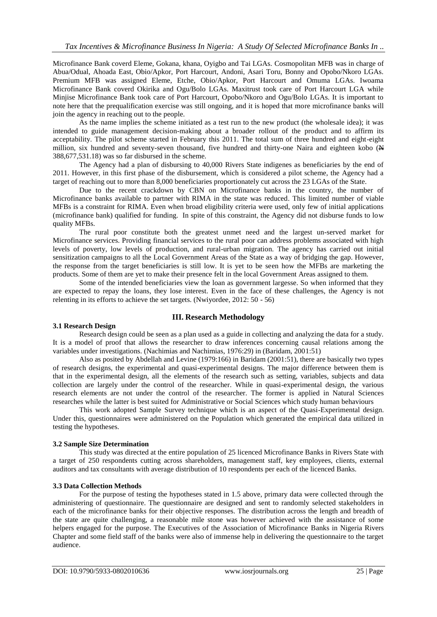Microfinance Bank coverd Eleme, Gokana, khana, Oyigbo and Tai LGAs. Cosmopolitan MFB was in charge of Abua/Odual, Ahoada East, Obio/Apkor, Port Harcourt, Andoni, Asari Toru, Bonny and Opobo/Nkoro LGAs. Premium MFB was assigned Eleme, Etche, Obio/Apkor, Port Harcourt and Omuma LGAs. Iwoama Microfinance Bank coverd Okirika and Ogu/Bolo LGAs. Maxitrust took care of Port Harcourt LGA while Minjise Microfinance Bank took care of Port Harcourt, Opobo/Nkoro and Ogu/Bolo LGAs. It is important to note here that the prequalification exercise was still ongoing, and it is hoped that more microfinance banks will join the agency in reaching out to the people.

As the name implies the scheme initiated as a test run to the new product (the wholesale idea); it was intended to guide management decision-making about a broader rollout of the product and to affirm its acceptability. The pilot scheme started in February this 2011. The total sum of three hundred and eight-eight million, six hundred and seventy-seven thousand, five hundred and thirty-one Naira and eighteen kobo (N 388,677,531.18) was so far disbursed in the scheme.

The Agency had a plan of disbursing to 40,000 Rivers State indigenes as beneficiaries by the end of 2011. However, in this first phase of the disbursement, which is considered a pilot scheme, the Agency had a target of reaching out to more than 8,000 beneficiaries proportionately cut across the 23 LGAs of the State.

Due to the recent crackdown by CBN on Microfinance banks in the country, the number of Microfinance banks available to partner with RIMA in the state was reduced. This limited number of viable MFBs is a constraint for RIMA. Even when broad eligibility criteria were used, only few of initial applications (microfinance bank) qualified for funding. In spite of this constraint, the Agency did not disburse funds to low quality MFBs.

The rural poor constitute both the greatest unmet need and the largest un-served market for Microfinance services. Providing financial services to the rural poor can address problems associated with high levels of poverty, low levels of production, and rural-urban migration. The agency has carried out initial sensitization campaigns to all the Local Government Areas of the State as a way of bridging the gap. However, the response from the target beneficiaries is still low. It is yet to be seen how the MFBs are marketing the products. Some of them are yet to make their presence felt in the local Government Areas assigned to them.

Some of the intended beneficiaries view the loan as government largesse. So when informed that they are expected to repay the loans, they lose interest. Even in the face of these challenges, the Agency is not relenting in its efforts to achieve the set targets. (Nwiyordee, 2012: 50 - 56)

# **III. Research Methodology**

#### **3.1 Research Design** Research design could be seen as a plan used as a guide in collecting and analyzing the data for a study. It is a model of proof that allows the researcher to draw inferences concerning causal relations among the

variables under investigations. (Nachimias and Nachimias, 1976:29) in (Baridam, 2001:51) Also as posited by Abdellah and Levine (1979:166) in Baridam (2001:51), there are basically two types of research designs, the experimental and quasi-experimental designs. The major difference between them is that in the experimental design, all the elements of the research such as setting, variables, subjects and data collection are largely under the control of the researcher. While in quasi-experimental design, the various research elements are not under the control of the researcher. The former is applied in Natural Sciences researches while the latter is best suited for Administrative or Social Sciences which study human behaviours

This work adopted Sample Survey technique which is an aspect of the Quasi-Experimental design. Under this, questionnaires were administered on the Population which generated the empirical data utilized in testing the hypotheses.

## **3.2 Sample Size Determination**

This study was directed at the entire population of 25 licenced Microfinance Banks in Rivers State with a target of 250 respondents cutting across shareholders, management staff, key employees, clients, external auditors and tax consultants with average distribution of 10 respondents per each of the licenced Banks.

## **3.3 Data Collection Methods**

For the purpose of testing the hypotheses stated in 1.5 above, primary data were collected through the administering of questionnaire. The questionnaire are designed and sent to randomly selected stakeholders in each of the microfinance banks for their objective responses. The distribution across the length and breadth of the state are quite challenging, a reasonable mile stone was however achieved with the assistance of some helpers engaged for the purpose. The Executives of the Association of Microfinance Banks in Nigeria Rivers Chapter and some field staff of the banks were also of immense help in delivering the questionnaire to the target audience.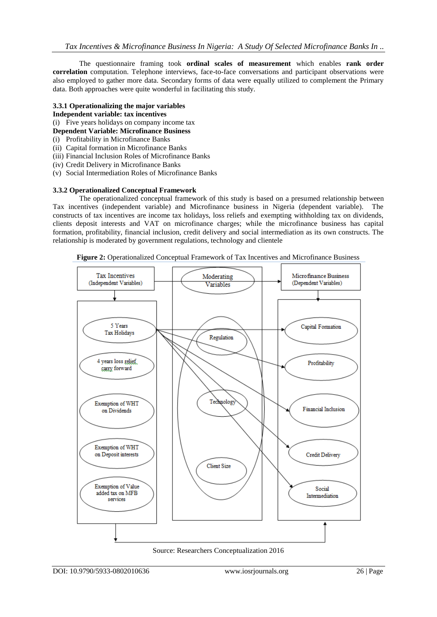The questionnaire framing took **ordinal scales of measurement** which enables **rank order correlation** computation. Telephone interviews, face-to-face conversations and participant observations were also employed to gather more data. Secondary forms of data were equally utilized to complement the Primary data. Both approaches were quite wonderful in facilitating this study.

## **3.3.1 Operationalizing the major variables**

#### **Independent variable: tax incentives**

- (i) Five years holidays on company income tax
- **Dependent Variable: Microfinance Business**
- (i) Profitability in Microfinance Banks
- (ii) Capital formation in Microfinance Banks
- (iii) Financial Inclusion Roles of Microfinance Banks
- (iv) Credit Delivery in Microfinance Banks
- (v) Social Intermediation Roles of Microfinance Banks

#### **3.3.2 Operationalized Conceptual Framework**

The operationalized conceptual framework of this study is based on a presumed relationship between Tax incentives (independent variable) and Microfinance business in Nigeria (dependent variable). The constructs of tax incentives are income tax holidays, loss reliefs and exempting withholding tax on dividends, clients deposit interests and VAT on microfinance charges; while the microfinance business has capital formation, profitability, financial inclusion, credit delivery and social intermediation as its own constructs. The relationship is moderated by government regulations, technology and clientele

**Figure 2:** Operationalized Conceptual Framework of Tax Incentives and Microfinance Business



Source: Researchers Conceptualization 2016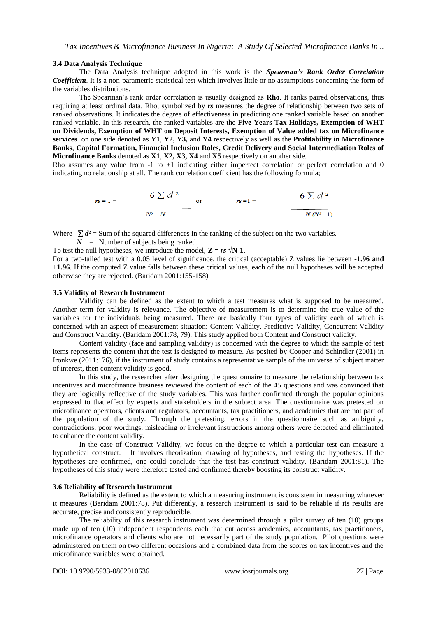## **3.4 Data Analysis Technique**

The Data Analysis technique adopted in this work is the *Spearman's Rank Order Correlation Coefficient*. It is a non-parametric statistical test which involves little or no assumptions concerning the form of the variables distributions.

The Spearman"s rank order correlation is usually designed as **Rho**. It ranks paired observations, thus requiring at least ordinal data. Rho, symbolized by *rs* measures the degree of relationship between two sets of ranked observations. It indicates the degree of effectiveness in predicting one ranked variable based on another ranked variable. In this research, the ranked variables are the **Five Years Tax Holidays, Exemption of WHT on Dividends, Exemption of WHT on Deposit Interests, Exemption of Value added tax on Microfinance services** on one side denoted as **Y1**, **Y2, Y3,** and **Y4** respectively as well as the **Profitability in Microfinance Banks**, **Capital Formation, Financial Inclusion Roles, Credit Delivery and Social Intermediation Roles of Microfinance Banks** denoted as **X1**, **X2, X3, X4** and **X5** respectively on another side.

Rho assumes any value from -1 to +1 indicating either imperfect correlation or perfect correlation and 0 indicating no relationship at all. The rank correlation coefficient has the following formula;

$$
rs = 1 - \frac{6 \sum d^{2}}{N^{3} - N}
$$
 or 
$$
rs = 1 - \frac{6 \sum d^{2}}{N(N^{2} - 1)}
$$

Where  $\sum d^2$  = Sum of the squared differences in the ranking of the subject on the two variables. *N* = Number of subjects being ranked.

To test the null hypotheses, we introduce the model,  $\mathbf{Z} = r\mathbf{s} \sqrt{\mathbf{N}} \cdot \mathbf{1}$ .

For a two-tailed test with a 0.05 level of significance, the critical (acceptable) Z values lie between **-1.96 and +1.96**. If the computed Z value falls between these critical values, each of the null hypotheses will be accepted otherwise they are rejected. (Baridam 2001:155-158)

## **3.5 Validity of Research Instrument**

Validity can be defined as the extent to which a test measures what is supposed to be measured. Another term for validity is relevance. The objective of measurement is to determine the true value of the variables for the individuals being measured. There are basically four types of validity each of which is concerned with an aspect of measurement situation: Content Validity, Predictive Validity, Concurrent Validity and Construct Validity. (Baridam 2001:78, 79). This study applied both Content and Construct validity.

Content validity (face and sampling validity) is concerned with the degree to which the sample of test items represents the content that the test is designed to measure. As posited by Cooper and Schindler (2001) in Ironkwe (2011:176), if the instrument of study contains a representative sample of the universe of subject matter of interest, then content validity is good.

In this study, the researcher after designing the questionnaire to measure the relationship between tax incentives and microfinance business reviewed the content of each of the 45 questions and was convinced that they are logically reflective of the study variables. This was further confirmed through the popular opinions expressed to that effect by experts and stakeholders in the subject area. The questionnaire was pretested on microfinance operators, clients and regulators, accountants, tax practitioners, and academics that are not part of the population of the study. Through the pretesting, errors in the questionnaire such as ambiguity, contradictions, poor wordings, misleading or irrelevant instructions among others were detected and eliminated to enhance the content validity.

In the case of Construct Validity, we focus on the degree to which a particular test can measure a hypothetical construct. It involves theorization, drawing of hypotheses, and testing the hypotheses. If the hypotheses are confirmed, one could conclude that the test has construct validity. (Baridam 2001:81). The hypotheses of this study were therefore tested and confirmed thereby boosting its construct validity.

## **3.6 Reliability of Research Instrument**

Reliability is defined as the extent to which a measuring instrument is consistent in measuring whatever it measures (Baridam 2001:78). Put differently, a research instrument is said to be reliable if its results are accurate, precise and consistently reproducible.

The reliability of this research instrument was determined through a pilot survey of ten (10) groups made up of ten (10) independent respondents each that cut across academics, accountants, tax practitioners, microfinance operators and clients who are not necessarily part of the study population. Pilot questions were administered on them on two different occasions and a combined data from the scores on tax incentives and the microfinance variables were obtained.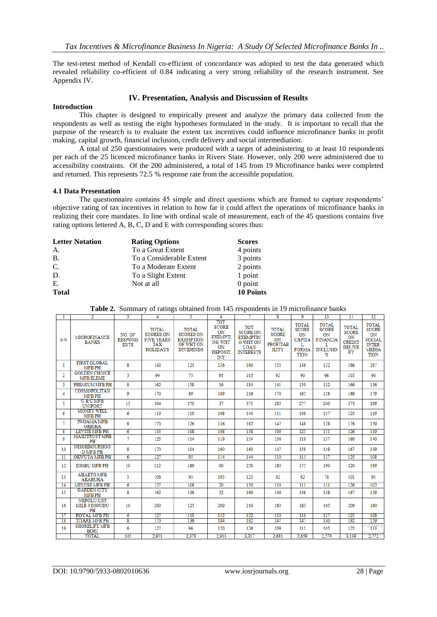The test-retest method of Kendall co-efficient of concordance was adopted to test the data generated which revealed reliability co-efficient of 0.84 indicating a very strong reliability of the research instrument. See Appendix IV.

## **IV. Presentation, Analysis and Discussion of Results**

#### **Introduction**

This chapter is designed to empirically present and analyze the primary data collected from the respondents as well as testing the eight hypotheses formulated in the study. It is important to recall that the purpose of the research is to evaluate the extent tax incentives could influence microfinance banks in profit making, capital growth, financial inclusion, credit delivery and social intermediation.

A total of 250 questionnaires were produced with a target of administering to at least 10 respondents per each of the 25 licenced microfinance banks in Rivers State. However, only 200 were administered due to accessibility constraints. Of the 200 administered, a total of 145 from 19 Microfinance banks were completed and returned. This represents 72.5 % response rate from the accessible population.

#### **4.1 Data Presentation**

The questionnaire contains 45 simple and direct questions which are framed to capture respondents' objective rating of tax incentives in relation to how far it could affect the operations of microfinance banks in realizing their core mandates. In line with ordinal scale of measurement, each of the 45 questions contains five rating options lettered A, B, C, D and E with corresponding scores thus:

| <b>Letter Notation</b> | <b>Rating Options</b>    | <b>Scores</b>    |
|------------------------|--------------------------|------------------|
| A.                     | To a Great Extent        | 4 points         |
| <b>B.</b>              | To a Considerable Extent | 3 points         |
| C.                     | To a Moderate Extent     | 2 points         |
| D.                     | To a Slight Extent       | 1 point          |
| Е.                     | Not at all               | $0$ point        |
| <b>Total</b>           |                          | <b>10 Points</b> |

|                         |                                          |                                         | o                                                                               |                                                                                       |                                                                                               | x.                                                                                               |                                                                       |                                                                                                |                                                                                           |                                                                            |                                                                                                           |
|-------------------------|------------------------------------------|-----------------------------------------|---------------------------------------------------------------------------------|---------------------------------------------------------------------------------------|-----------------------------------------------------------------------------------------------|--------------------------------------------------------------------------------------------------|-----------------------------------------------------------------------|------------------------------------------------------------------------------------------------|-------------------------------------------------------------------------------------------|----------------------------------------------------------------------------|-----------------------------------------------------------------------------------------------------------|
|                         | 2                                        | 3                                       | 4                                                                               | 5                                                                                     | 6                                                                                             |                                                                                                  | $\overline{\mathbf{s}}$                                               | 9                                                                                              | 10                                                                                        | $\overline{11}$                                                            | 12                                                                                                        |
| S/N                     | <b>MICROFINANCE</b><br><b>BANKS</b>      | NO. OF<br><b>RESPOND</b><br><b>ENTS</b> | <b>TOTAL</b><br><b>SCORES ON</b><br><b>FIVE YEARS</b><br>TAX<br><b>HOLIDAYS</b> | <b>TOTAL</b><br><b>SCORES ON</b><br><b>EXEMPTION</b><br>OF WHT ON<br><b>DIVIDENDS</b> | TOT.<br><b>SCORE</b><br>ON<br><b>EXEMPTI</b><br><b>NG WHT</b><br>ON<br><b>DEPOSIT</b><br>INT. | TOT.<br><b>SCORE ON</b><br><b>EXEMPTIN</b><br><b>G WHT ON</b><br><b>LOAN</b><br><b>INTERESTS</b> | <b>TOTAL</b><br><b>SCORE</b><br>0N<br><b>PROFITAB</b><br><b>ILITY</b> | <b>TOTAL</b><br><b>SCORE</b><br><b>ON</b><br><b>CAPITA</b><br>L<br><b>FORMA</b><br><b>TION</b> | <b>TOTAL</b><br><b>SCORE</b><br><b>ON</b><br><b>FINANCIA</b><br>L<br><b>INCLUSIO</b><br>N | <b>TOTAL</b><br><b>SCORE</b><br>ON<br><b>CREDIT</b><br><b>DELIVE</b><br>RY | <b>TOTAL</b><br><b>SCORE</b><br><b>ON</b><br><b>SOCIAL</b><br><b>INTER</b><br><b>MEDIA</b><br><b>TION</b> |
| 1.                      | <b>FIRST GLOBAL</b><br><b>MFB PH</b>     | 8                                       | 143                                                                             | 125                                                                                   | 136                                                                                           | 160                                                                                              | 155                                                                   | 136                                                                                            | 132                                                                                       | 166                                                                        | 167                                                                                                       |
| $\mathfrak{D}$          | <b>GOLDEN CHOICE</b><br><b>MFB ELEME</b> | 5.                                      | 99                                                                              | 75                                                                                    | 95                                                                                            | 105                                                                                              | 92                                                                    | 90.                                                                                            | 98                                                                                        | 105                                                                        | 90                                                                                                        |
| 3                       | PREMIUM MFB PH                           | 8                                       | 162                                                                             | 158                                                                                   | 16                                                                                            | 184                                                                                              | 141                                                                   | 150                                                                                            | 132                                                                                       | 166                                                                        | 136                                                                                                       |
| 4                       | <b>COSMOPOLITAN</b><br><b>MFB PH</b>     | 9                                       | 170                                                                             | 89                                                                                    | 189                                                                                           | 216                                                                                              | 170                                                                   | 165                                                                                            | 158                                                                                       | 186                                                                        | 179                                                                                                       |
| -5                      | <b>U&amp;CMFB</b><br><b>UNIPORT</b>      | 15                                      | 304                                                                             | 270                                                                                   | 37                                                                                            | 375                                                                                              | 283                                                                   | 277                                                                                            | 240                                                                                       | 373                                                                        | 299                                                                                                       |
| 6                       | <b>MONEY WELL</b><br><b>MFB PH</b>       | 6                                       | 119                                                                             | 119                                                                                   | 108                                                                                           | 144                                                                                              | 111                                                                   | 108                                                                                            | 117                                                                                       | 125                                                                        | 119                                                                                                       |
| 7                       | <b>IWOAMA MFB</b><br><b>OKRIKA</b>       | 8                                       | 170                                                                             | 126                                                                                   | 136                                                                                           | 192                                                                                              | 147                                                                   | 148                                                                                            | 128                                                                                       | 176                                                                        | 159                                                                                                       |
| $\overline{\mathbf{g}}$ | <b>LEVITE MFB PH</b>                     | 6                                       | 133                                                                             | 108                                                                                   | 108                                                                                           | 138                                                                                              | 109                                                                   | 125                                                                                            | 111                                                                                       | 126                                                                        | 119                                                                                                       |
| 9                       | <b>MAXITRUST MFB</b><br>PH               | 7                                       | 125                                                                             | 114                                                                                   | 119                                                                                           | 154                                                                                              | 136                                                                   | 119                                                                                            | 137                                                                                       | 160                                                                        | 140                                                                                                       |
| 10                      | <b>NEIGHBOURHOO</b><br><b>D MFB PH</b>   | 8                                       | 170                                                                             | 104                                                                                   | 160                                                                                           | 160                                                                                              | 147                                                                   | 158                                                                                            | 148                                                                                       | 167                                                                        | 159                                                                                                       |
| 11                      | <b>OKWUTA MFB PH</b>                     | 6                                       | 127                                                                             | 95                                                                                    | 114                                                                                           | 144                                                                                              | 110                                                                   | 111                                                                                            | 117                                                                                       | 125                                                                        | 108                                                                                                       |
| 12                      | <b>DIOBU MFB PH</b>                      | 10                                      | 212                                                                             | 189                                                                                   | 00 <sup>1</sup>                                                                               | 250                                                                                              | 183                                                                   | 175                                                                                            | 190                                                                                       | 220                                                                        | 199                                                                                                       |
| 13                      | <b>AHAETO MFB</b><br><b>AKABUKA</b>      | 5.                                      | 106                                                                             | 95                                                                                    | 105                                                                                           | 125                                                                                              | 92                                                                    | 92                                                                                             | 78                                                                                        | 101                                                                        | 95                                                                                                        |
| 14                      | MINJISE MFB PH                           | 6                                       | 127                                                                             | 108                                                                                   | 20                                                                                            | 150                                                                                              | 110                                                                   | 111                                                                                            | 111                                                                                       | 126                                                                        | 102                                                                                                       |
| 15                      | <b>GARDEN CITY</b><br><b>MFB PH</b>      | 8                                       | 162                                                                             | 136                                                                                   | 52                                                                                            | 160                                                                                              | 146                                                                   | 146                                                                                            | 148                                                                                       | 167                                                                        | 159                                                                                                       |
| 16                      | NKPOLU-UST<br><b>MILE 3 DIOUDU</b><br>PH | 10                                      | 200                                                                             | 125                                                                                   | 200                                                                                           | 210                                                                                              | 183                                                                   | 183                                                                                            | 165                                                                                       | 209                                                                        | 160                                                                                                       |
| 17                      | <b>ROYAL MFB PH</b>                      | 6                                       | 127                                                                             | 110                                                                                   | 132                                                                                           | 132                                                                                              | 110                                                                   | 110                                                                                            | 117                                                                                       | 125                                                                        | 108                                                                                                       |
| 18                      | <b>TITARE MFB PH</b>                     | $\overline{\mathbf{s}}$                 | 170                                                                             | 136                                                                                   | 184                                                                                           | 192                                                                                              | 147                                                                   | 147                                                                                            | 140                                                                                       | 192                                                                        | 159                                                                                                       |
| 19                      | <b>SHORELIFE MFB</b><br><b>BORI</b>      | 6                                       | 127                                                                             | 96                                                                                    | 120                                                                                           | 126                                                                                              | 109                                                                   | 111                                                                                            | 105                                                                                       | 125                                                                        | 113                                                                                                       |
|                         | <b>TOTAL</b>                             | 145                                     | 2.951                                                                           | 2.378                                                                                 | 2.913                                                                                         | 3.317                                                                                            | 2.681                                                                 | 2.659                                                                                          | 2.570                                                                                     | 3.139                                                                      | 2.772                                                                                                     |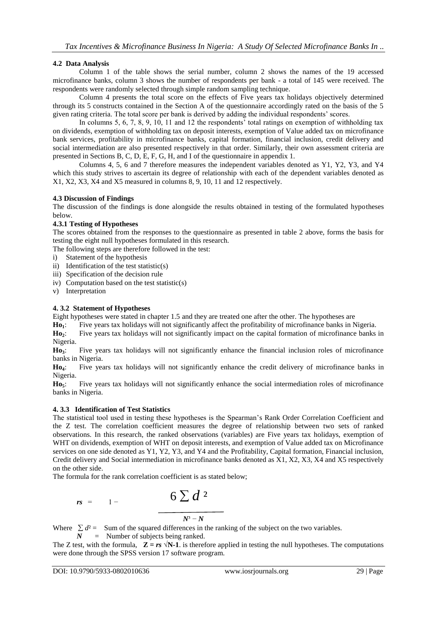## **4.2 Data Analysis**

Column 1 of the table shows the serial number, column 2 shows the names of the 19 accessed microfinance banks, column 3 shows the number of respondents per bank - a total of 145 were received. The respondents were randomly selected through simple random sampling technique.

Column 4 presents the total score on the effects of Five years tax holidays objectively determined through its 5 constructs contained in the Section A of the questionnaire accordingly rated on the basis of the 5 given rating criteria. The total score per bank is derived by adding the individual respondents" scores.

In columns 5, 6, 7, 8, 9, 10, 11 and 12 the respondents' total ratings on exemption of withholding tax on dividends, exemption of withholding tax on deposit interests, exemption of Value added tax on microfinance bank services, profitability in microfinance banks, capital formation, financial inclusion, credit delivery and social intermediation are also presented respectively in that order. Similarly, their own assessment criteria are presented in Sections B, C, D, E, F, G, H, and I of the questionnaire in appendix 1.

Columns 4, 5, 6 and 7 therefore measures the independent variables denoted as Y1, Y2, Y3, and Y4 which this study strives to ascertain its degree of relationship with each of the dependent variables denoted as X1, X2, X3, X4 and X5 measured in columns 8, 9, 10, 11 and 12 respectively.

## **4.3 Discussion of Findings**

The discussion of the findings is done alongside the results obtained in testing of the formulated hypotheses below.

## **4.3.1 Testing of Hypotheses**

The scores obtained from the responses to the questionnaire as presented in table 2 above, forms the basis for testing the eight null hypotheses formulated in this research.

The following steps are therefore followed in the test:

- i) Statement of the hypothesis
- ii) Identification of the test statistic(s)
- iii) Specification of the decision rule
- iv) Computation based on the test statistic(s)
- v) Interpretation

## **4. 3.2 Statement of Hypotheses**

Eight hypotheses were stated in chapter 1.5 and they are treated one after the other. The hypotheses are

**Ho**<sub>1</sub>: Five years tax holidays will not significantly affect the profitability of microfinance banks in Nigeria.<br>**Ho**<sub>2</sub>: Five years tax holidays will not significantly impact on the capital formation of microfinance ban

**Ho2**: Five years tax holidays will not significantly impact on the capital formation of microfinance banks in Nigeria.

**Ho3**: Five years tax holidays will not significantly enhance the financial inclusion roles of microfinance banks in Nigeria.

**Ho4**: Five years tax holidays will not significantly enhance the credit delivery of microfinance banks in Nigeria.

**Ho5**: Five years tax holidays will not significantly enhance the social intermediation roles of microfinance banks in Nigeria.

## **4. 3.3 Identification of Test Statistics**

The statistical tool used in testing these hypotheses is the Spearman"s Rank Order Correlation Coefficient and the Z test. The correlation coefficient measure*s* the degree of relationship between two sets of ranked observations. In this research, the ranked observations (variables) are Five years tax holidays, exemption of WHT on dividends, exemption of WHT on deposit interests, and exemption of Value added tax on Microfinance services on one side denoted as Y1, Y2, Y3, and Y4 and the Profitability, Capital formation, Financial inclusion, Credit delivery and Social intermediation in microfinance banks denoted as X1, X2, X3, X4 and X5 respectively on the other side.

The formula for the rank correlation coefficient is as stated below;

$$
r_s = 1 - 6 \sum d^2
$$

 $N^3 - N$ 

Where  $\sum d^2$  = Sum of the squared differences in the ranking of the subject on the two variables. *N* = Number of subjects being ranked.

The Z test, with the formula,  $\mathbf{Z} = r\mathbf{s} \sqrt{\mathbf{N}}$ -1. is therefore applied in testing the null hypotheses. The computations were done through the SPSS version 17 software program.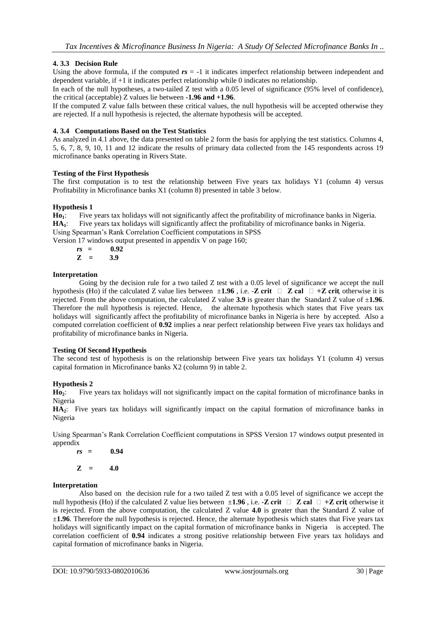## **4. 3.3 Decision Rule**

Using the above formula, if the computed  $rs = -1$  it indicates imperfect relationship between independent and dependent variable, if +1 it indicates perfect relationship while 0 indicates no relationship.

In each of the null hypotheses, a two-tailed Z test with a 0.05 level of significance (95% level of confidence), the critical (acceptable) Z values lie between **-1.96 and +1.96**.

If the computed Z value falls between these critical values, the null hypothesis will be accepted otherwise they are rejected. If a null hypothesis is rejected, the alternate hypothesis will be accepted.

## **4. 3.4 Computations Based on the Test Statistics**

As analyzed in 4.1 above, the data presented on table 2 form the basis for applying the test statistics. Columns 4, 5, 6, 7, 8, 9, 10, 11 and 12 indicate the results of primary data collected from the 145 respondents across 19 microfinance banks operating in Rivers State.

## **Testing of the First Hypothesis**

The first computation is to test the relationship between Five years tax holidays Y1 (column 4) versus Profitability in Microfinance banks X1 (column 8) presented in table 3 below.

## **Hypothesis 1**

**Ho1**: Five years tax holidays will not significantly affect the profitability of microfinance banks in Nigeria. **HA1**: Five years tax holidays will significantly affect the profitability of microfinance banks in Nigeria.

Using Spearman"s Rank Correlation Coefficient computations in SPSS

Version 17 windows output presented in appendix V on page 160;

$$
\begin{array}{rcl}\nr_S &=& 0.92 \\
Z &=& 3.9\n\end{array}
$$

## **Interpretation**

Going by the decision rule for a two tailed Z test with a 0.05 level of significance we accept the null hypothesis (Ho) if the calculated Z value lies between  $\pm 1.96$ , i.e. -**Z crit**  $\Box$  **Z cal**  $\Box$  +**Z crit**, otherwise it is rejected. From the above computation, the calculated Z value **3.9** is greater than the Standard Z value of ±**1.96**. Therefore the null hypothesis is rejected. Hence, the alternate hypothesis which states that Five years tax holidays will significantly affect the profitability of microfinance banks in Nigeria is here by accepted. Also a computed correlation coefficient of **0.92** implies a near perfect relationship between Five years tax holidays and profitability of microfinance banks in Nigeria.

## **Testing Of Second Hypothesis**

The second test of hypothesis is on the relationship between Five years tax holidays Y1 (column 4) versus capital formation in Microfinance banks X2 (column 9) in table 2.

## **Hypothesis 2**

**Ho2**: Five years tax holidays will not significantly impact on the capital formation of microfinance banks in Nigeria

**HA2**: Five years tax holidays will significantly impact on the capital formation of microfinance banks in Nigeria

Using Spearman"s Rank Correlation Coefficient computations in SPSS Version 17 windows output presented in appendix

$$
rs = 0.94
$$
  

$$
Z = 4.0
$$

## **Interpretation**

Also based on the decision rule for a two tailed Z test with a 0.05 level of significance we accept the null hypothesis (Ho) if the calculated Z value lies between  $\pm 1.96$ , i.e. -**Z crit**  $\Box$  **Z cal**  $\Box$  +**Z crit** otherwise it is rejected. From the above computation, the calculated Z value **4.0** is greater than the Standard Z value of ±**1.96**. Therefore the null hypothesis is rejected. Hence, the alternate hypothesis which states that Five years tax holidays will significantly impact on the capital formation of microfinance banks in Nigeria is accepted. The correlation coefficient of **0.94** indicates a strong positive relationship between Five years tax holidays and capital formation of microfinance banks in Nigeria.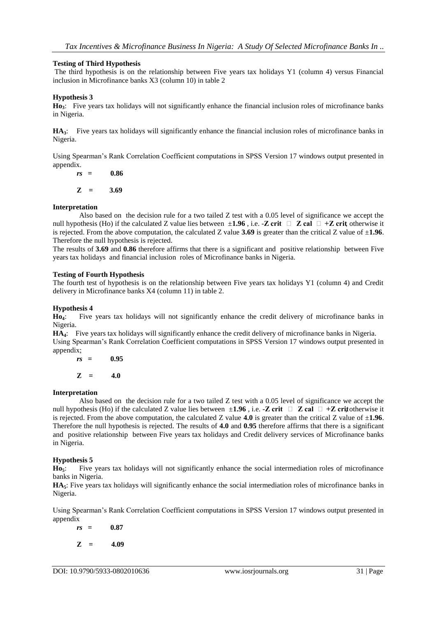## **Testing of Third Hypothesis**

The third hypothesis is on the relationship between Five years tax holidays Y1 (column 4) versus Financial inclusion in Microfinance banks X3 (column 10) in table 2

## **Hypothesis 3**

**Ho3**: Five years tax holidays will not significantly enhance the financial inclusion roles of microfinance banks in Nigeria.

**HA3**: Five years tax holidays will significantly enhance the financial inclusion roles of microfinance banks in Nigeria.

Using Spearman"s Rank Correlation Coefficient computations in SPSS Version 17 windows output presented in appendix.

 $rs = 0.86$  $Z = 3.69$ 

## **Interpretation**

Also based on the decision rule for a two tailed Z test with a 0.05 level of significance we accept the null hypothesis (Ho) if the calculated Z value lies between  $\pm 1.96$ , i.e. -**Z crit**  $\Box$  **Z cal**  $\Box$  +**Z crit** otherwise it is rejected. From the above computation, the calculated Z value **3.69** is greater than the critical Z value of ±**1.96**. Therefore the null hypothesis is rejected.

The results of **3.69** and **0.86** therefore affirms that there is a significant and positive relationship between Five years tax holidays and financial inclusion roles of Microfinance banks in Nigeria.

## **Testing of Fourth Hypothesis**

The fourth test of hypothesis is on the relationship between Five years tax holidays Y1 (column 4) and Credit delivery in Microfinance banks X4 (column 11) in table 2.

## **Hypothesis 4**

**Ho4**: Five years tax holidays will not significantly enhance the credit delivery of microfinance banks in Nigeria.

**HA4**: Five years tax holidays will significantly enhance the credit delivery of microfinance banks in Nigeria. Using Spearman"s Rank Correlation Coefficient computations in SPSS Version 17 windows output presented in appendix;

 $rs = 0.95$  $Z = 4.0$ 

## **Interpretation**

Also based on the decision rule for a two tailed Z test with a 0.05 level of significance we accept the null hypothesis (Ho) if the calculated Z value lies between  $\pm 1.96$ , i.e. -**Z crit**  $\Box$  **Z cal**  $\Box$  +**Z crit** otherwise it is rejected. From the above computation, the calculated Z value **4.0** is greater than the critical Z value of  $\pm 1.96$ . Therefore the null hypothesis is rejected. The results of **4.0** and **0.95** therefore affirms that there is a significant and positive relationship between Five years tax holidays and Credit delivery services of Microfinance banks in Nigeria.

## **Hypothesis 5**

**Ho5**: Five years tax holidays will not significantly enhance the social intermediation roles of microfinance banks in Nigeria.

**HA5**: Five years tax holidays will significantly enhance the social intermediation roles of microfinance banks in Nigeria.

Using Spearman"s Rank Correlation Coefficient computations in SPSS Version 17 windows output presented in appendix

 $rs = 0.87$  $Z = 4.09$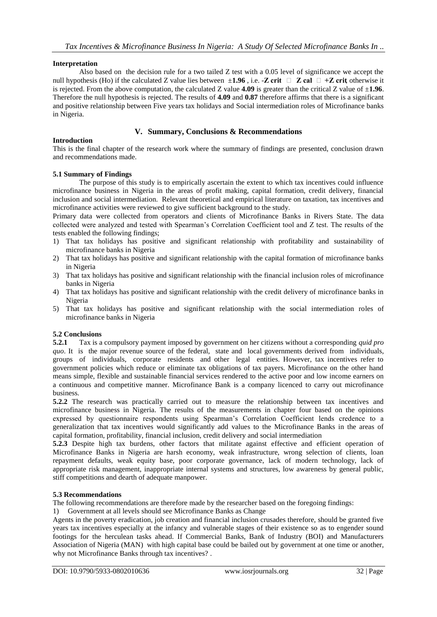## **Interpretation**

Also based on the decision rule for a two tailed  $Z$  test with a 0.05 level of significance we accept the null hypothesis (Ho) if the calculated Z value lies between  $\pm 1.96$ , i.e. -**Z crit**  $\Box$  **Z cal**  $\Box$  +**Z crit** otherwise it is rejected. From the above computation, the calculated Z value  $4.09$  is greater than the critical Z value of  $\pm 1.96$ . Therefore the null hypothesis is rejected. The results of **4.09** and **0.87** therefore affirms that there is a significant and positive relationship between Five years tax holidays and Social intermediation roles of Microfinance banks in Nigeria.

## **V. Summary, Conclusions & Recommendations**

## **Introduction**

This is the final chapter of the research work where the summary of findings are presented, conclusion drawn and recommendations made.

## **5.1 Summary of Findings**

The purpose of this study is to empirically ascertain the extent to which tax incentives could influence microfinance business in Nigeria in the areas of profit making, capital formation, credit delivery, financial inclusion and social intermediation. Relevant theoretical and empirical literature on taxation, tax incentives and microfinance activities were reviewed to give sufficient background to the study.

Primary data were collected from operators and clients of Microfinance Banks in Rivers State. The data collected were analyzed and tested with Spearman"s Correlation Coefficient tool and Z test. The results of the tests enabled the following findings;

- 1) That tax holidays has positive and significant relationship with profitability and sustainability of microfinance banks in Nigeria
- 2) That tax holidays has positive and significant relationship with the capital formation of microfinance banks in Nigeria
- 3) That tax holidays has positive and significant relationship with the financial inclusion roles of microfinance banks in Nigeria
- 4) That tax holidays has positive and significant relationship with the credit delivery of microfinance banks in Nigeria
- 5) That tax holidays has positive and significant relationship with the social intermediation roles of microfinance banks in Nigeria

## **5.2 Conclusions**

**5.2.1** Tax is a compulsory payment imposed by government on her citizens without a corresponding *quid pro quo*. It is the major revenue source of the federal, state and local governments derived from individuals, groups of individuals, corporate residents and other legal entities. However, tax incentives refer to government policies which reduce or eliminate tax obligations of tax payers. Microfinance on the other hand means simple, flexible and sustainable financial services rendered to the active poor and low income earners on a continuous and competitive manner. Microfinance Bank is a company licenced to carry out microfinance business.

**5.2.2** The research was practically carried out to measure the relationship between tax incentives and microfinance business in Nigeria. The results of the measurements in chapter four based on the opinions expressed by questionnaire respondents using Spearman"s Correlation Coefficient lends credence to a generalization that tax incentives would significantly add values to the Microfinance Banks in the areas of capital formation, profitability, financial inclusion, credit delivery and social intermediation

**5.2.3** Despite high tax burdens, other factors that militate against effective and efficient operation of Microfinance Banks in Nigeria are harsh economy, weak infrastructure, wrong selection of clients, loan repayment defaults, weak equity base, poor corporate governance, lack of modern technology, lack of appropriate risk management, inappropriate internal systems and structures, low awareness by general public, stiff competitions and dearth of adequate manpower.

## **5.3 Recommendations**

The following recommendations are therefore made by the researcher based on the foregoing findings:

1) Government at all levels should see Microfinance Banks as Change

Agents in the poverty eradication, job creation and financial inclusion crusades therefore, should be granted five years tax incentives especially at the infancy and vulnerable stages of their existence so as to engender sound footings for the herculean tasks ahead. If Commercial Banks, Bank of Industry (BOI) and Manufacturers Association of Nigeria (MAN) with high capital base could be bailed out by government at one time or another, why not Microfinance Banks through tax incentives? .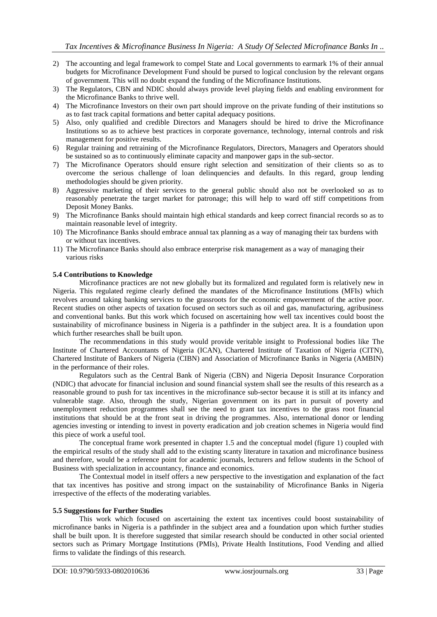- 2) The accounting and legal framework to compel State and Local governments to earmark 1% of their annual budgets for Microfinance Development Fund should be pursed to logical conclusion by the relevant organs of government. This will no doubt expand the funding of the Microfinance Institutions.
- 3) The Regulators, CBN and NDIC should always provide level playing fields and enabling environment for the Microfinance Banks to thrive well.
- 4) The Microfinance Investors on their own part should improve on the private funding of their institutions so as to fast track capital formations and better capital adequacy positions.
- 5) Also, only qualified and credible Directors and Managers should be hired to drive the Microfinance Institutions so as to achieve best practices in corporate governance, technology, internal controls and risk management for positive results.
- 6) Regular training and retraining of the Microfinance Regulators, Directors, Managers and Operators should be sustained so as to continuously eliminate capacity and manpower gaps in the sub-sector.
- 7) The Microfinance Operators should ensure right selection and sensitization of their clients so as to overcome the serious challenge of loan delinquencies and defaults. In this regard, group lending methodologies should be given priority.
- 8) Aggressive marketing of their services to the general public should also not be overlooked so as to reasonably penetrate the target market for patronage; this will help to ward off stiff competitions from Deposit Money Banks.
- 9) The Microfinance Banks should maintain high ethical standards and keep correct financial records so as to maintain reasonable level of integrity.
- 10) The Microfinance Banks should embrace annual tax planning as a way of managing their tax burdens with or without tax incentives.
- 11) The Microfinance Banks should also embrace enterprise risk management as a way of managing their various risks

## **5.4 Contributions to Knowledge**

Microfinance practices are not new globally but its formalized and regulated form is relatively new in Nigeria. This regulated regime clearly defined the mandates of the Microfinance Institutions (MFIs) which revolves around taking banking services to the grassroots for the economic empowerment of the active poor. Recent studies on other aspects of taxation focused on sectors such as oil and gas, manufacturing, agribusiness and conventional banks. But this work which focused on ascertaining how well tax incentives could boost the sustainability of microfinance business in Nigeria is a pathfinder in the subject area. It is a foundation upon which further researches shall be built upon.

The recommendations in this study would provide veritable insight to Professional bodies like The Institute of Chartered Accountants of Nigeria (ICAN), Chartered Institute of Taxation of Nigeria (CITN), Chartered Institute of Bankers of Nigeria (CIBN) and Association of Microfinance Banks in Nigeria (AMBIN) in the performance of their roles.

Regulators such as the Central Bank of Nigeria (CBN) and Nigeria Deposit Insurance Corporation (NDIC) that advocate for financial inclusion and sound financial system shall see the results of this research as a reasonable ground to push for tax incentives in the microfinance sub-sector because it is still at its infancy and vulnerable stage. Also, through the study, Nigerian government on its part in pursuit of poverty and unemployment reduction programmes shall see the need to grant tax incentives to the grass root financial institutions that should be at the front seat in driving the programmes. Also, international donor or lending agencies investing or intending to invest in poverty eradication and job creation schemes in Nigeria would find this piece of work a useful tool.

The conceptual frame work presented in chapter 1.5 and the conceptual model (figure 1) coupled with the empirical results of the study shall add to the existing scanty literature in taxation and microfinance business and therefore, would be a reference point for academic journals, lecturers and fellow students in the School of Business with specialization in accountancy, finance and economics.

The Contextual model in itself offers a new perspective to the investigation and explanation of the fact that tax incentives has positive and strong impact on the sustainability of Microfinance Banks in Nigeria irrespective of the effects of the moderating variables.

## **5.5 Suggestions for Further Studies**

This work which focused on ascertaining the extent tax incentives could boost sustainability of microfinance banks in Nigeria is a pathfinder in the subject area and a foundation upon which further studies shall be built upon. It is therefore suggested that similar research should be conducted in other social oriented sectors such as Primary Mortgage Institutions (PMIs), Private Health Institutions, Food Vending and allied firms to validate the findings of this research.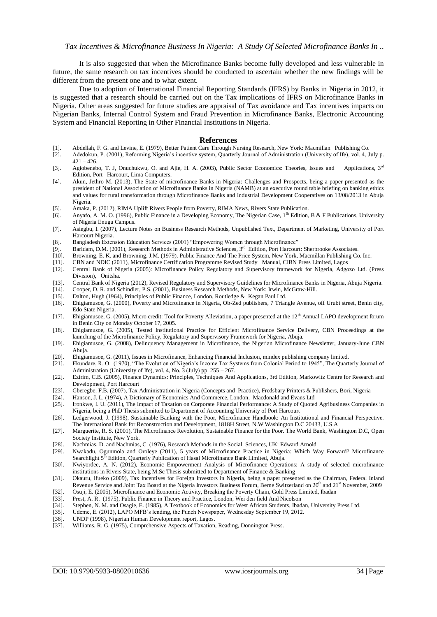It is also suggested that when the Microfinance Banks become fully developed and less vulnerable in future, the same research on tax incentives should be conducted to ascertain whether the new findings will be different from the present one and to what extent.

Due to adoption of International Financial Reporting Standards (IFRS) by Banks in Nigeria in 2012, it is suggested that a research should be carried out on the Tax implications of IFRS on Microfinance Banks in Nigeria. Other areas suggested for future studies are appraisal of Tax avoidance and Tax incentives impacts on Nigerian Banks, Internal Control System and Fraud Prevention in Microfinance Banks, Electronic Accounting System and Financial Reporting in Other Financial Institutions in Nigeria.

#### **References**

- [1]. Abdellah, F. G. and Levine, E. (1979), Better Patient Care Through Nursing Research, New York: Macmillan Publishing Co.
- Adedokun, P. (2001), Reforming Nigeria's incentive system, Quarterly Journal of Administration (University of Ife), vol. 4, July p.  $421 - 426$
- [3]. Agiobenebo, T. J, Onuchukwu, O. and Ajie, H. A. (2003), Public Sector Economics: Theories, Issues and Applications,  $3^{rd}$ Edition, Port Harcourt, Lima Computers.
- [4]. Akun, Jethro M. (2013), The State of microfinance Banks in Nigeria: Challenges and Prospects, being a paper presented as the president of National Association of Microfinance Banks in Nigeria (NAMB) at an executive round table briefing on banking ethics and values for rural transformation through Microfinance Banks and Industrial Development Cooperatives on 13/08/2013 in Abuja Nigeria.
- [5]. Amaka, P. (2012), RIMA Uplift Rivers People from Poverty, RIMA News, Rivers State Publication.
- [6]. Anyafo, A. M. O. (1996), Public Finance in a Developing Economy, The Nigerian Case, 1<sup>St</sup> Edition, B & F Publications, University of Nigeria Enugu Campus.
- [7]. Asiegbu, I. (2007), Lecture Notes on Business Research Methods, Unpublished Text, Department of Marketing, University of Port Harcourt Nigeria.
- [8]. Bangladesh Extension Education Services (2001) "Empowering Women through Microfinance"
- [9]. Baridam, D.M. (2001), Research Methods in Administrative Sciences, 3<sup>rd</sup> Edition, Port Harcourt: Sherbrooke Associates.<br>[10]. Browning, E. K. and Browning, J.M. (1979), Public Finance And The Price System, New York, M
- [10]. Browning, E. K. and Browning, J.M. (1979), Public Finance And The Price System, New York, Macmillan Publishing Co. Inc.
- [11]. CBN and NDIC (2011), Microfinance Certification Programme Revised Study Manual, CIBN Press Limited, Lagos
- [12]. Central Bank of Nigeria (2005): Microfinance Policy Regulatory and Supervisory framework for Nigeria, Adgozo Ltd. (Press Division), Onitsha.
- [13]. Central Bank of Nigeria (2012), Revised Regulatory and Supervisory Guidelines for Microfinance Banks in Nigeria, Abuja Nigeria.
- [14]. Cooper, D. R. and Schindler, P.S. (2001), Business Research Methods, New York: Irwin, McGraw-Hill.
- [15]. Dalton, Hugh (1964), Principles of Public Finance, London, Routledge & Kegan Paul Ltd.
- [16]. Ehigiamusoe, G. (2000), Poverty and Microfinance in Nigeria, Ob-Zed publishers, 7 Triangle Avenue, off Urubi street, Benin city, Edo State Nigeria.
- [17]. Ehigiamusoe, G. (2005), Micro credit: Tool for Poverty Alleviation, a paper presented at the 12<sup>th</sup> Annual LAPO development forum in Benin City on Monday October 17, 2005.
- [18]. Ehigiamusoe, G. (2005), Tested Institutional Practice for Efficient Microfinance Service Delivery, CBN Proceedings at the launching of the Microfinance Policy, Regulatory and Supervisory Framework for Nigeria, Abuja.
- [19]. Ehigiamusoe, G. (2008), Delinquency Management in Microfinance, the Nigerian Microfinance Newsletter, January-June CBN Abuja.
- [20]. Ehigiamusoe, G. (2011), Issues in Microfinance, Enhancing Financial Inclusion, mindex publishing company limited.
- [21]. Ekundare, R. O. (1970), "The Evolution of Nigeria"s Income Tax Systems from Colonial Period to 1945", The Quarterly Journal of Administration (University of Ife), vol. 4, No. 3 (July) pp. 255 – 267.
- [22]. Ezirim, C.B. (2005), Finance Dynamics: Principles, Techniques And Applications, 3rd Edition, Markowitz Centre for Research and Development, Port Harcourt
- [23]. Gberegbe, F.B. (2007), Tax Administration in Nigeria (Concepts and Practice), Fredsbary Printers & Publishers, Bori, Nigeria
- [24]. Hanson, J. L. (1974), A Dictionary of Economics And Commerce, London, Macdonald and Evans Ltd
- [25]. Ironkwe, I. U. (2011), The Impact of Taxation on Corporate Financial Performance: A Study of Quoted Agribusiness Companies in Nigeria, being a PhD Thesis submitted to Department of Accounting University of Port Harcourt
- [26]. Ledgerwood, J. (1998), Sustainable Banking with the Poor, Microfinance Handbook: An Institutional and Financial Perspective. The International Bank for Reconstruction and Development, 1818H Street, N.W Washington D.C 20433, U.S.A
- [27]. Marguerite, R. S. (2001), The Microfinance Revolution, Sustainable Finance for the Poor. The World Bank, Washington D.C, Open Society Institute, New York.
- [28]. Nachmias, D. and Nachmias, C. (1976), Research Methods in the Social Sciences, UK: Edward Arnold
- [29]. Nwakadu, Ogunmola and Oroleye (2011), 5 years of Microfinance Practice in Nigeria: Which Way Forward? Microfinance Searchlight 5<sup>th</sup> Edition, Quarterly Publication of Hasal Microfinance Bank Limited, Abuja.
- [30]. Nwiyordee, A. N. (2012), Economic Empowerment Analysis of Microfinance Operations: A study of selected microfinance institutions in Rivers State, being M.Sc Thesis submitted to Department of Finance & Banking
- [31]. Okauru, Ifueko (2009), Tax Incentives for Foreign Investors in Nigeria, being a paper presented as the Chairman, Federal Inland Revenue Service and Joint Tax Board at the Nigeria Investors Business Forum, Berne Switzerland on 20<sup>th</sup> and 21<sup>st</sup> November, 2009
- [32]. Osuji, E. (2005), Microfinance and Economic Activity, Breaking the Poverty Chain, Gold Press Limited, Ibadan
- [33]. Prest, A. R. (1975), Public Finance in Theory and Practice, London, Wei den field And Nicolson
- [34]. Stephen, N. M. and Osagie, E. (1985), A Textbook of Economics for West African Students, Ibadan, University Press Ltd.
- [35]. Udeme, E. (2012), LAPO MFB"s lending, the Punch Newspaper, Wednesday September 19, 2012.
- [36]. UNDP (1998), Nigerian Human Development report, Lagos.
- [37]. Williams, R. G. (1975), Comprehensive Aspects of Taxation, Reading, Donnington Press.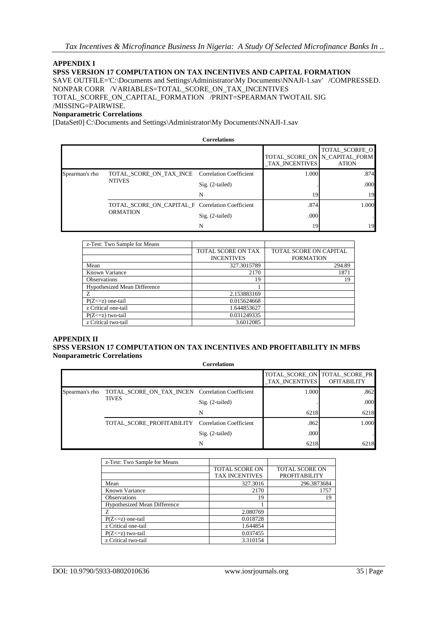## **APPENDIX I**

**SPSS VERSION 17 COMPUTATION ON TAX INCENTIVES AND CAPITAL FORMATION**

SAVE OUTFILE='C:\Documents and Settings\Administrator\My Documents\NNAJI-1.sav' /COMPRESSED. NONPAR CORR /VARIABLES=TOTAL\_SCORE\_ON\_TAX\_INCENTIVES

TOTAL\_SCORFE\_ON\_CAPITAL\_FORMATION /PRINT=SPEARMAN TWOTAIL SIG /MISSING=PAIRWISE.

**Nonparametric Correlations**

[DataSet0] C:\Documents and Settings\Administrator\My Documents\NNAJI-1.sav

**Correlations**

|                |                                                                     |                   | TAX INCENTIVES | TOTAL_SCORFE_O<br>TOTAL SCORE ON N CAPITAL FORM<br><b>ATION</b> |
|----------------|---------------------------------------------------------------------|-------------------|----------------|-----------------------------------------------------------------|
| Spearman's rho | TOTAL_SCORE_ON_TAX_INCE Correlation Coefficient                     |                   | 1.000          | .874                                                            |
|                | <b>NTIVES</b>                                                       | $Sig. (2-tailed)$ |                | .000                                                            |
|                |                                                                     | N                 | 19             | 19                                                              |
|                | TOTAL SCORE ON CAPITAL F Correlation Coefficient<br><b>ORMATION</b> |                   | .874           | 1.000                                                           |
|                |                                                                     | $Sig. (2-tailed)$ | .000           |                                                                 |
|                |                                                                     | N                 | 19             | 19                                                              |

| z-Test: Two Sample for Means        |                    |                        |
|-------------------------------------|--------------------|------------------------|
|                                     | TOTAL SCORE ON TAX | TOTAL SCORE ON CAPITAL |
|                                     | <b>INCENTIVES</b>  | <b>FORMATION</b>       |
| Mean                                | 327.3015789        | 294.89                 |
| Known Variance                      | 2170               | 1871                   |
| <b>Observations</b>                 | 19                 | 19                     |
| <b>Hypothesized Mean Difference</b> |                    |                        |
| Z                                   | 2.153883169        |                        |
| $P(Z \le z)$ one-tail               | 0.015624668        |                        |
| z Critical one-tail                 | 1.644853627        |                        |
| $P(Z \le z)$ two-tail               | 0.031249335        |                        |
| z Critical two-tail                 | 3.6012085          |                        |

#### **APPENDIX II**

## **SPSS VERSION 17 COMPUTATION ON TAX INCENTIVES AND PROFITABILITY IN MFBS Nonparametric Correlations**

| <b>Correlations</b> |  |
|---------------------|--|
|                     |  |
|                     |  |

|                |                                                                  |                   | TOTAL SCORE ON TOTAL SCORE PR<br>TAX INCENTIVES | <b>OFITABILITY</b> |
|----------------|------------------------------------------------------------------|-------------------|-------------------------------------------------|--------------------|
| Spearman's rho | TOTAL SCORE ON TAX INCEN Correlation Coefficient<br><b>TIVES</b> |                   | 1.000                                           | .862               |
|                |                                                                  | Sig. (2-tailed)   |                                                 | .000               |
|                |                                                                  | N                 | 6218                                            | 6218               |
|                | TOTAL SCORE PROFITABILITY Correlation Coefficient                |                   | .862                                            | 1.000              |
|                |                                                                  | $Sig. (2-tailed)$ | .000                                            |                    |
|                |                                                                  | N                 | 6218                                            | 6218               |

| z-Test: Two Sample for Means        |                       |                       |
|-------------------------------------|-----------------------|-----------------------|
|                                     | <b>TOTAL SCORE ON</b> | <b>TOTAL SCORE ON</b> |
|                                     | <b>TAX INCENTIVES</b> | <b>PROFITABILITY</b>  |
| Mean                                | 327.3016              | 296.3873684           |
| Known Variance                      | 2170                  | 1757                  |
| <b>Observations</b>                 | 19                    | 19                    |
| <b>Hypothesized Mean Difference</b> |                       |                       |
| Z                                   | 2.080769              |                       |
| $P(Z \le z)$ one-tail               | 0.018728              |                       |
| z Critical one-tail                 | 1.644854              |                       |
| $P(Z \le z)$ two-tail               | 0.037455              |                       |
| z Critical two-tail                 | 3.310154              |                       |